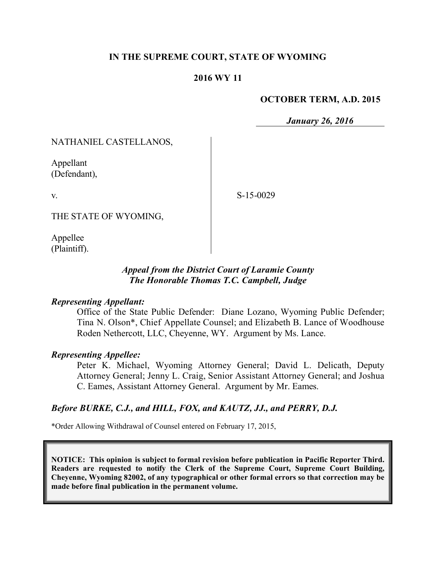#### **IN THE SUPREME COURT, STATE OF WYOMING**

#### **2016 WY 11**

#### **OCTOBER TERM, A.D. 2015**

*January 26, 2016*

NATHANIEL CASTELLANOS,

Appellant (Defendant),

v.

S-15-0029

THE STATE OF WYOMING,

Appellee (Plaintiff).

#### *Appeal from the District Court of Laramie County The Honorable Thomas T.C. Campbell, Judge*

#### *Representing Appellant:*

Office of the State Public Defender: Diane Lozano, Wyoming Public Defender; Tina N. Olson\*, Chief Appellate Counsel; and Elizabeth B. Lance of Woodhouse Roden Nethercott, LLC, Cheyenne, WY. Argument by Ms. Lance.

#### *Representing Appellee:*

Peter K. Michael, Wyoming Attorney General; David L. Delicath, Deputy Attorney General; Jenny L. Craig, Senior Assistant Attorney General; and Joshua C. Eames, Assistant Attorney General. Argument by Mr. Eames.

#### *Before BURKE, C.J., and HILL, FOX, and KAUTZ, JJ., and PERRY, D.J.*

\*Order Allowing Withdrawal of Counsel entered on February 17, 2015,

**NOTICE: This opinion is subject to formal revision before publication in Pacific Reporter Third. Readers are requested to notify the Clerk of the Supreme Court, Supreme Court Building, Cheyenne, Wyoming 82002, of any typographical or other formal errors so that correction may be made before final publication in the permanent volume.**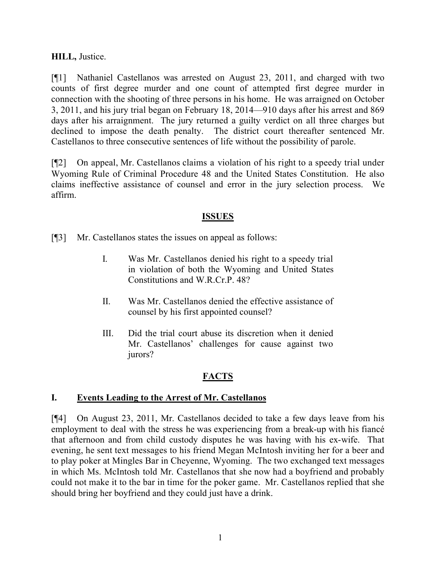#### **HILL,** Justice.

[¶1] Nathaniel Castellanos was arrested on August 23, 2011, and charged with two counts of first degree murder and one count of attempted first degree murder in connection with the shooting of three persons in his home. He was arraigned on October 3, 2011, and his jury trial began on February 18, 2014—910 days after his arrest and 869 days after his arraignment. The jury returned a guilty verdict on all three charges but declined to impose the death penalty. The district court thereafter sentenced Mr. Castellanos to three consecutive sentences of life without the possibility of parole.

[¶2] On appeal, Mr. Castellanos claims a violation of his right to a speedy trial under Wyoming Rule of Criminal Procedure 48 and the United States Constitution. He also claims ineffective assistance of counsel and error in the jury selection process. We affirm.

#### **ISSUES**

[¶3] Mr. Castellanos states the issues on appeal as follows:

- I. Was Mr. Castellanos denied his right to a speedy trial in violation of both the Wyoming and United States Constitutions and W.R.Cr.P. 48?
- II. Was Mr. Castellanos denied the effective assistance of counsel by his first appointed counsel?
- III. Did the trial court abuse its discretion when it denied Mr. Castellanos' challenges for cause against two jurors?

# **FACTS**

#### **I. Events Leading to the Arrest of Mr. Castellanos**

[¶4] On August 23, 2011, Mr. Castellanos decided to take a few days leave from his employment to deal with the stress he was experiencing from a break-up with his fiancé that afternoon and from child custody disputes he was having with his ex-wife. That evening, he sent text messages to his friend Megan McIntosh inviting her for a beer and to play poker at Mingles Bar in Cheyenne, Wyoming. The two exchanged text messages in which Ms. McIntosh told Mr. Castellanos that she now had a boyfriend and probably could not make it to the bar in time for the poker game. Mr. Castellanos replied that she should bring her boyfriend and they could just have a drink.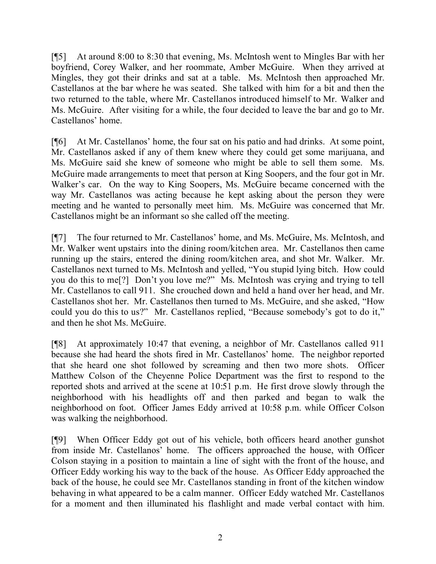[¶5] At around 8:00 to 8:30 that evening, Ms. McIntosh went to Mingles Bar with her boyfriend, Corey Walker, and her roommate, Amber McGuire. When they arrived at Mingles, they got their drinks and sat at a table. Ms. McIntosh then approached Mr. Castellanos at the bar where he was seated. She talked with him for a bit and then the two returned to the table, where Mr. Castellanos introduced himself to Mr. Walker and Ms. McGuire. After visiting for a while, the four decided to leave the bar and go to Mr. Castellanos' home.

[¶6] At Mr. Castellanos' home, the four sat on his patio and had drinks. At some point, Mr. Castellanos asked if any of them knew where they could get some marijuana, and Ms. McGuire said she knew of someone who might be able to sell them some. Ms. McGuire made arrangements to meet that person at King Soopers, and the four got in Mr. Walker's car. On the way to King Soopers, Ms. McGuire became concerned with the way Mr. Castellanos was acting because he kept asking about the person they were meeting and he wanted to personally meet him. Ms. McGuire was concerned that Mr. Castellanos might be an informant so she called off the meeting.

[¶7] The four returned to Mr. Castellanos' home, and Ms. McGuire, Ms. McIntosh, and Mr. Walker went upstairs into the dining room/kitchen area. Mr. Castellanos then came running up the stairs, entered the dining room/kitchen area, and shot Mr. Walker. Mr. Castellanos next turned to Ms. McIntosh and yelled, "You stupid lying bitch. How could you do this to me[?] Don't you love me?" Ms. McIntosh was crying and trying to tell Mr. Castellanos to call 911. She crouched down and held a hand over her head, and Mr. Castellanos shot her. Mr. Castellanos then turned to Ms. McGuire, and she asked, "How could you do this to us?" Mr. Castellanos replied, "Because somebody's got to do it," and then he shot Ms. McGuire.

[¶8] At approximately 10:47 that evening, a neighbor of Mr. Castellanos called 911 because she had heard the shots fired in Mr. Castellanos' home. The neighbor reported that she heard one shot followed by screaming and then two more shots. Officer Matthew Colson of the Cheyenne Police Department was the first to respond to the reported shots and arrived at the scene at 10:51 p.m. He first drove slowly through the neighborhood with his headlights off and then parked and began to walk the neighborhood on foot. Officer James Eddy arrived at 10:58 p.m. while Officer Colson was walking the neighborhood.

[¶9] When Officer Eddy got out of his vehicle, both officers heard another gunshot from inside Mr. Castellanos' home. The officers approached the house, with Officer Colson staying in a position to maintain a line of sight with the front of the house, and Officer Eddy working his way to the back of the house. As Officer Eddy approached the back of the house, he could see Mr. Castellanos standing in front of the kitchen window behaving in what appeared to be a calm manner. Officer Eddy watched Mr. Castellanos for a moment and then illuminated his flashlight and made verbal contact with him.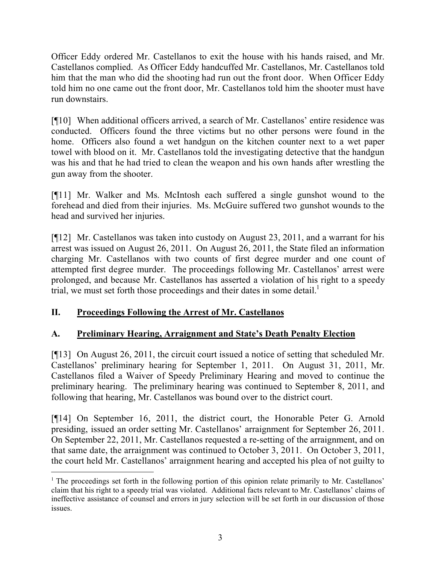Officer Eddy ordered Mr. Castellanos to exit the house with his hands raised, and Mr. Castellanos complied. As Officer Eddy handcuffed Mr. Castellanos, Mr. Castellanos told him that the man who did the shooting had run out the front door. When Officer Eddy told him no one came out the front door, Mr. Castellanos told him the shooter must have run downstairs.

[¶10] When additional officers arrived, a search of Mr. Castellanos' entire residence was conducted. Officers found the three victims but no other persons were found in the home. Officers also found a wet handgun on the kitchen counter next to a wet paper towel with blood on it. Mr. Castellanos told the investigating detective that the handgun was his and that he had tried to clean the weapon and his own hands after wrestling the gun away from the shooter.

[¶11] Mr. Walker and Ms. McIntosh each suffered a single gunshot wound to the forehead and died from their injuries. Ms. McGuire suffered two gunshot wounds to the head and survived her injuries.

[¶12] Mr. Castellanos was taken into custody on August 23, 2011, and a warrant for his arrest was issued on August 26, 2011. On August 26, 2011, the State filed an information charging Mr. Castellanos with two counts of first degree murder and one count of attempted first degree murder. The proceedings following Mr. Castellanos' arrest were prolonged, and because Mr. Castellanos has asserted a violation of his right to a speedy trial, we must set forth those proceedings and their dates in some detail.<sup>1</sup>

# **II. Proceedings Following the Arrest of Mr. Castellanos**

 $\overline{a}$ 

# **A. Preliminary Hearing, Arraignment and State's Death Penalty Election**

[¶13] On August 26, 2011, the circuit court issued a notice of setting that scheduled Mr. Castellanos' preliminary hearing for September 1, 2011. On August 31, 2011, Mr. Castellanos filed a Waiver of Speedy Preliminary Hearing and moved to continue the preliminary hearing. The preliminary hearing was continued to September 8, 2011, and following that hearing, Mr. Castellanos was bound over to the district court.

[¶14] On September 16, 2011, the district court, the Honorable Peter G. Arnold presiding, issued an order setting Mr. Castellanos' arraignment for September 26, 2011. On September 22, 2011, Mr. Castellanos requested a re-setting of the arraignment, and on that same date, the arraignment was continued to October 3, 2011. On October 3, 2011, the court held Mr. Castellanos' arraignment hearing and accepted his plea of not guilty to

<sup>&</sup>lt;sup>1</sup> The proceedings set forth in the following portion of this opinion relate primarily to Mr. Castellanos' claim that his right to a speedy trial was violated. Additional facts relevant to Mr. Castellanos' claims of ineffective assistance of counsel and errors in jury selection will be set forth in our discussion of those issues.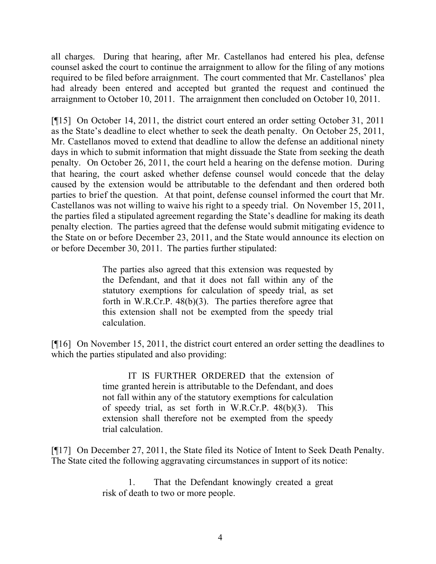all charges. During that hearing, after Mr. Castellanos had entered his plea, defense counsel asked the court to continue the arraignment to allow for the filing of any motions required to be filed before arraignment. The court commented that Mr. Castellanos' plea had already been entered and accepted but granted the request and continued the arraignment to October 10, 2011. The arraignment then concluded on October 10, 2011.

[¶15] On October 14, 2011, the district court entered an order setting October 31, 2011 as the State's deadline to elect whether to seek the death penalty. On October 25, 2011, Mr. Castellanos moved to extend that deadline to allow the defense an additional ninety days in which to submit information that might dissuade the State from seeking the death penalty. On October 26, 2011, the court held a hearing on the defense motion. During that hearing, the court asked whether defense counsel would concede that the delay caused by the extension would be attributable to the defendant and then ordered both parties to brief the question. At that point, defense counsel informed the court that Mr. Castellanos was not willing to waive his right to a speedy trial. On November 15, 2011, the parties filed a stipulated agreement regarding the State's deadline for making its death penalty election. The parties agreed that the defense would submit mitigating evidence to the State on or before December 23, 2011, and the State would announce its election on or before December 30, 2011. The parties further stipulated:

> The parties also agreed that this extension was requested by the Defendant, and that it does not fall within any of the statutory exemptions for calculation of speedy trial, as set forth in W.R.Cr.P. 48(b)(3). The parties therefore agree that this extension shall not be exempted from the speedy trial calculation.

[¶16] On November 15, 2011, the district court entered an order setting the deadlines to which the parties stipulated and also providing:

> IT IS FURTHER ORDERED that the extension of time granted herein is attributable to the Defendant, and does not fall within any of the statutory exemptions for calculation of speedy trial, as set forth in W.R.Cr.P. 48(b)(3). This extension shall therefore not be exempted from the speedy trial calculation.

[¶17] On December 27, 2011, the State filed its Notice of Intent to Seek Death Penalty. The State cited the following aggravating circumstances in support of its notice:

> 1. That the Defendant knowingly created a great risk of death to two or more people.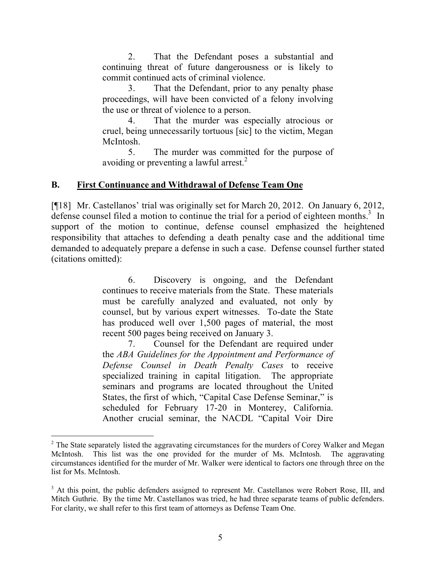2. That the Defendant poses a substantial and continuing threat of future dangerousness or is likely to commit continued acts of criminal violence.

3. That the Defendant, prior to any penalty phase proceedings, will have been convicted of a felony involving the use or threat of violence to a person.

4. That the murder was especially atrocious or cruel, being unnecessarily tortuous [sic] to the victim, Megan McIntosh.

5. The murder was committed for the purpose of avoiding or preventing a lawful arrest. $<sup>2</sup>$ </sup>

### **B. First Continuance and Withdrawal of Defense Team One**

[¶18] Mr. Castellanos' trial was originally set for March 20, 2012. On January 6, 2012, defense counsel filed a motion to continue the trial for a period of eighteen months.<sup>3</sup> In support of the motion to continue, defense counsel emphasized the heightened responsibility that attaches to defending a death penalty case and the additional time demanded to adequately prepare a defense in such a case. Defense counsel further stated (citations omitted):

> 6. Discovery is ongoing, and the Defendant continues to receive materials from the State. These materials must be carefully analyzed and evaluated, not only by counsel, but by various expert witnesses. To-date the State has produced well over 1,500 pages of material, the most recent 500 pages being received on January 3.

> 7. Counsel for the Defendant are required under the *ABA Guidelines for the Appointment and Performance of Defense Counsel in Death Penalty Cases* to receive specialized training in capital litigation. The appropriate seminars and programs are located throughout the United States, the first of which, "Capital Case Defense Seminar," is scheduled for February 17-20 in Monterey, California. Another crucial seminar, the NACDL "Capital Voir Dire

<sup>&</sup>lt;sup>2</sup> The State separately listed the aggravating circumstances for the murders of Corey Walker and Megan McIntosh. This list was the one provided for the murder of Ms. McIntosh. The aggravating circumstances identified for the murder of Mr. Walker were identical to factors one through three on the list for Ms. McIntosh.

<sup>&</sup>lt;sup>3</sup> At this point, the public defenders assigned to represent Mr. Castellanos were Robert Rose, III, and Mitch Guthrie. By the time Mr. Castellanos was tried, he had three separate teams of public defenders. For clarity, we shall refer to this first team of attorneys as Defense Team One.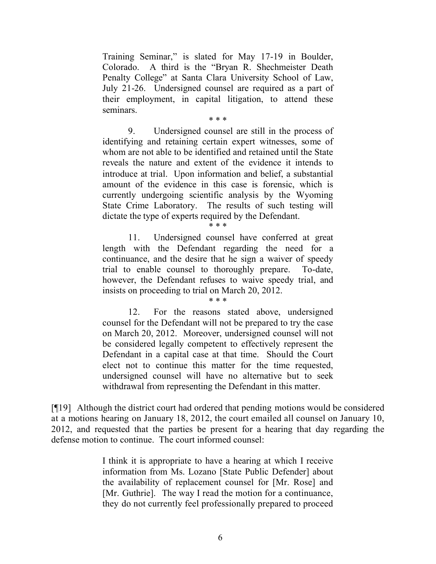Training Seminar," is slated for May 17-19 in Boulder, Colorado. A third is the "Bryan R. Shechmeister Death Penalty College" at Santa Clara University School of Law, July 21-26. Undersigned counsel are required as a part of their employment, in capital litigation, to attend these seminars.

\* \* \*

9. Undersigned counsel are still in the process of identifying and retaining certain expert witnesses, some of whom are not able to be identified and retained until the State reveals the nature and extent of the evidence it intends to introduce at trial. Upon information and belief, a substantial amount of the evidence in this case is forensic, which is currently undergoing scientific analysis by the Wyoming State Crime Laboratory. The results of such testing will dictate the type of experts required by the Defendant.

11. Undersigned counsel have conferred at great length with the Defendant regarding the need for a continuance, and the desire that he sign a waiver of speedy trial to enable counsel to thoroughly prepare. To-date, however, the Defendant refuses to waive speedy trial, and insists on proceeding to trial on March 20, 2012.

\* \* \*

\* \* \*

12. For the reasons stated above, undersigned counsel for the Defendant will not be prepared to try the case on March 20, 2012. Moreover, undersigned counsel will not be considered legally competent to effectively represent the Defendant in a capital case at that time. Should the Court elect not to continue this matter for the time requested, undersigned counsel will have no alternative but to seek withdrawal from representing the Defendant in this matter.

[¶19] Although the district court had ordered that pending motions would be considered at a motions hearing on January 18, 2012, the court emailed all counsel on January 10, 2012, and requested that the parties be present for a hearing that day regarding the defense motion to continue. The court informed counsel:

> I think it is appropriate to have a hearing at which I receive information from Ms. Lozano [State Public Defender] about the availability of replacement counsel for [Mr. Rose] and [Mr. Guthrie]. The way I read the motion for a continuance, they do not currently feel professionally prepared to proceed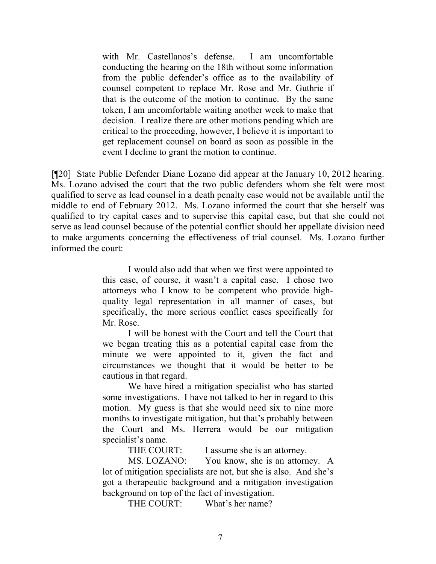with Mr. Castellanos's defense. I am uncomfortable conducting the hearing on the 18th without some information from the public defender's office as to the availability of counsel competent to replace Mr. Rose and Mr. Guthrie if that is the outcome of the motion to continue. By the same token, I am uncomfortable waiting another week to make that decision. I realize there are other motions pending which are critical to the proceeding, however, I believe it is important to get replacement counsel on board as soon as possible in the event I decline to grant the motion to continue.

[¶20] State Public Defender Diane Lozano did appear at the January 10, 2012 hearing. Ms. Lozano advised the court that the two public defenders whom she felt were most qualified to serve as lead counsel in a death penalty case would not be available until the middle to end of February 2012. Ms. Lozano informed the court that she herself was qualified to try capital cases and to supervise this capital case, but that she could not serve as lead counsel because of the potential conflict should her appellate division need to make arguments concerning the effectiveness of trial counsel. Ms. Lozano further informed the court:

> I would also add that when we first were appointed to this case, of course, it wasn't a capital case. I chose two attorneys who I know to be competent who provide highquality legal representation in all manner of cases, but specifically, the more serious conflict cases specifically for Mr. Rose.

> I will be honest with the Court and tell the Court that we began treating this as a potential capital case from the minute we were appointed to it, given the fact and circumstances we thought that it would be better to be cautious in that regard.

> We have hired a mitigation specialist who has started some investigations. I have not talked to her in regard to this motion. My guess is that she would need six to nine more months to investigate mitigation, but that's probably between the Court and Ms. Herrera would be our mitigation specialist's name.

> > THE COURT: I assume she is an attorney.

MS. LOZANO: You know, she is an attorney. A lot of mitigation specialists are not, but she is also. And she's got a therapeutic background and a mitigation investigation background on top of the fact of investigation.

THE COURT: What's her name?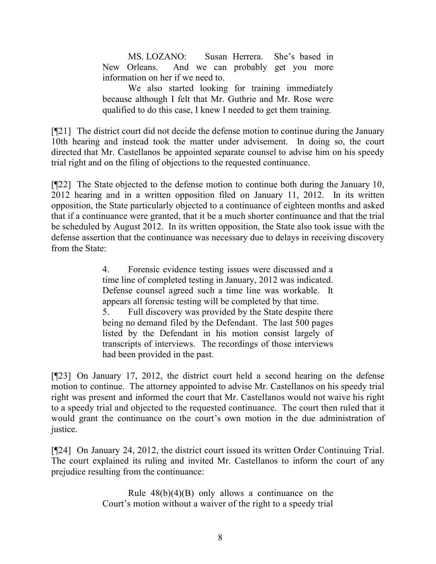MS. LOZANO: Susan Herrera. She's based in New Orleans. And we can probably get you more information on her if we need to.

We also started looking for training immediately because although I felt that Mr. Guthrie and Mr. Rose were qualified to do this case, I knew I needed to get them training.

[¶21] The district court did not decide the defense motion to continue during the January 10th hearing and instead took the matter under advisement. In doing so, the court directed that Mr. Castellanos be appointed separate counsel to advise him on his speedy trial right and on the filing of objections to the requested continuance.

[¶22] The State objected to the defense motion to continue both during the January 10, 2012 hearing and in a written opposition filed on January 11, 2012. In its written opposition, the State particularly objected to a continuance of eighteen months and asked that if a continuance were granted, that it be a much shorter continuance and that the trial be scheduled by August 2012. In its written opposition, the State also took issue with the defense assertion that the continuance was necessary due to delays in receiving discovery from the State:

> 4. Forensic evidence testing issues were discussed and a time line of completed testing in January, 2012 was indicated. Defense counsel agreed such a time line was workable. It appears all forensic testing will be completed by that time.

> 5. Full discovery was provided by the State despite there being no demand filed by the Defendant. The last 500 pages listed by the Defendant in his motion consist largely of transcripts of interviews. The recordings of those interviews had been provided in the past.

[¶23] On January 17, 2012, the district court held a second hearing on the defense motion to continue. The attorney appointed to advise Mr. Castellanos on his speedy trial right was present and informed the court that Mr. Castellanos would not waive his right to a speedy trial and objected to the requested continuance. The court then ruled that it would grant the continuance on the court's own motion in the due administration of justice.

[¶24] On January 24, 2012, the district court issued its written Order Continuing Trial. The court explained its ruling and invited Mr. Castellanos to inform the court of any prejudice resulting from the continuance:

> Rule  $48(b)(4)(B)$  only allows a continuance on the Court's motion without a waiver of the right to a speedy trial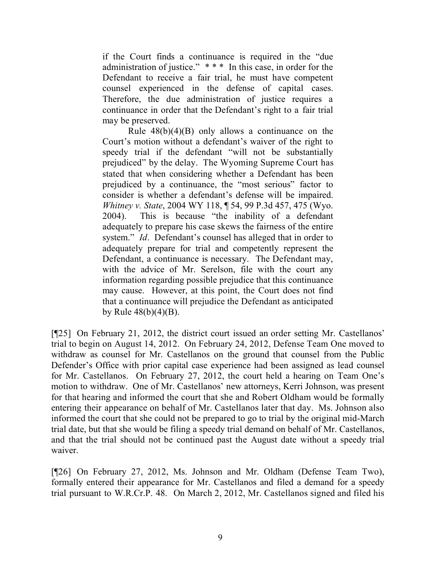if the Court finds a continuance is required in the "due administration of justice." \* \* \* In this case, in order for the Defendant to receive a fair trial, he must have competent counsel experienced in the defense of capital cases. Therefore, the due administration of justice requires a continuance in order that the Defendant's right to a fair trial may be preserved.

Rule  $48(b)(4)(B)$  only allows a continuance on the Court's motion without a defendant's waiver of the right to speedy trial if the defendant "will not be substantially prejudiced" by the delay. The Wyoming Supreme Court has stated that when considering whether a Defendant has been prejudiced by a continuance, the "most serious" factor to consider is whether a defendant's defense will be impaired. *Whitney v. State*, 2004 WY 118, ¶ 54, 99 P.3d 457, 475 (Wyo. 2004). This is because "the inability of a defendant adequately to prepare his case skews the fairness of the entire system." *Id*. Defendant's counsel has alleged that in order to adequately prepare for trial and competently represent the Defendant, a continuance is necessary. The Defendant may, with the advice of Mr. Serelson, file with the court any information regarding possible prejudice that this continuance may cause. However, at this point, the Court does not find that a continuance will prejudice the Defendant as anticipated by Rule  $48(b)(4)(B)$ .

[¶25] On February 21, 2012, the district court issued an order setting Mr. Castellanos' trial to begin on August 14, 2012. On February 24, 2012, Defense Team One moved to withdraw as counsel for Mr. Castellanos on the ground that counsel from the Public Defender's Office with prior capital case experience had been assigned as lead counsel for Mr. Castellanos. On February 27, 2012, the court held a hearing on Team One's motion to withdraw. One of Mr. Castellanos' new attorneys, Kerri Johnson, was present for that hearing and informed the court that she and Robert Oldham would be formally entering their appearance on behalf of Mr. Castellanos later that day. Ms. Johnson also informed the court that she could not be prepared to go to trial by the original mid-March trial date, but that she would be filing a speedy trial demand on behalf of Mr. Castellanos, and that the trial should not be continued past the August date without a speedy trial waiver.

[¶26] On February 27, 2012, Ms. Johnson and Mr. Oldham (Defense Team Two), formally entered their appearance for Mr. Castellanos and filed a demand for a speedy trial pursuant to W.R.Cr.P. 48. On March 2, 2012, Mr. Castellanos signed and filed his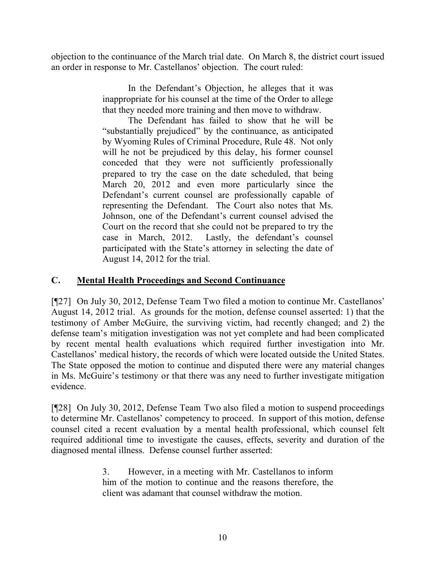objection to the continuance of the March trial date. On March 8, the district court issued an order in response to Mr. Castellanos' objection. The court ruled:

> In the Defendant's Objection, he alleges that it was inappropriate for his counsel at the time of the Order to allege that they needed more training and then move to withdraw.

> The Defendant has failed to show that he will be "substantially prejudiced" by the continuance, as anticipated by Wyoming Rules of Criminal Procedure, Rule 48. Not only will he not be prejudiced by this delay, his former counsel conceded that they were not sufficiently professionally prepared to try the case on the date scheduled, that being March 20, 2012 and even more particularly since the Defendant's current counsel are professionally capable of representing the Defendant. The Court also notes that Ms. Johnson, one of the Defendant's current counsel advised the Court on the record that she could not be prepared to try the case in March, 2012. Lastly, the defendant's counsel participated with the State's attorney in selecting the date of August 14, 2012 for the trial.

### **C. Mental Health Proceedings and Second Continuance**

[¶27] On July 30, 2012, Defense Team Two filed a motion to continue Mr. Castellanos' August 14, 2012 trial. As grounds for the motion, defense counsel asserted: 1) that the testimony of Amber McGuire, the surviving victim, had recently changed; and 2) the defense team's mitigation investigation was not yet complete and had been complicated by recent mental health evaluations which required further investigation into Mr. Castellanos' medical history, the records of which were located outside the United States. The State opposed the motion to continue and disputed there were any material changes in Ms. McGuire's testimony or that there was any need to further investigate mitigation evidence.

[¶28] On July 30, 2012, Defense Team Two also filed a motion to suspend proceedings to determine Mr. Castellanos' competency to proceed. In support of this motion, defense counsel cited a recent evaluation by a mental health professional, which counsel felt required additional time to investigate the causes, effects, severity and duration of the diagnosed mental illness. Defense counsel further asserted:

> 3. However, in a meeting with Mr. Castellanos to inform him of the motion to continue and the reasons therefore, the client was adamant that counsel withdraw the motion.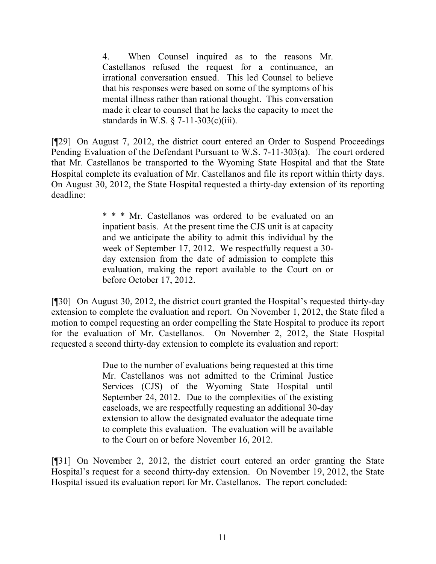4. When Counsel inquired as to the reasons Mr. Castellanos refused the request for a continuance, an irrational conversation ensued. This led Counsel to believe that his responses were based on some of the symptoms of his mental illness rather than rational thought. This conversation made it clear to counsel that he lacks the capacity to meet the standards in W.S.  $\S$  7-11-303(c)(iii).

[¶29] On August 7, 2012, the district court entered an Order to Suspend Proceedings Pending Evaluation of the Defendant Pursuant to W.S. 7-11-303(a). The court ordered that Mr. Castellanos be transported to the Wyoming State Hospital and that the State Hospital complete its evaluation of Mr. Castellanos and file its report within thirty days. On August 30, 2012, the State Hospital requested a thirty-day extension of its reporting deadline:

> \* \* \* Mr. Castellanos was ordered to be evaluated on an inpatient basis. At the present time the CJS unit is at capacity and we anticipate the ability to admit this individual by the week of September 17, 2012. We respectfully request a 30 day extension from the date of admission to complete this evaluation, making the report available to the Court on or before October 17, 2012.

[¶30] On August 30, 2012, the district court granted the Hospital's requested thirty-day extension to complete the evaluation and report. On November 1, 2012, the State filed a motion to compel requesting an order compelling the State Hospital to produce its report for the evaluation of Mr. Castellanos. On November 2, 2012, the State Hospital requested a second thirty-day extension to complete its evaluation and report:

> Due to the number of evaluations being requested at this time Mr. Castellanos was not admitted to the Criminal Justice Services (CJS) of the Wyoming State Hospital until September 24, 2012. Due to the complexities of the existing caseloads, we are respectfully requesting an additional 30-day extension to allow the designated evaluator the adequate time to complete this evaluation. The evaluation will be available to the Court on or before November 16, 2012.

[¶31] On November 2, 2012, the district court entered an order granting the State Hospital's request for a second thirty-day extension. On November 19, 2012, the State Hospital issued its evaluation report for Mr. Castellanos. The report concluded: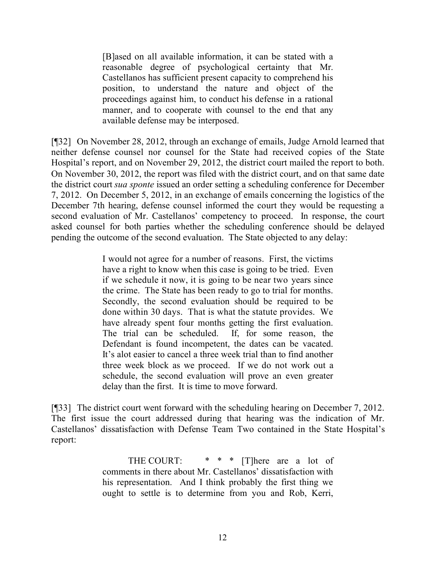[B]ased on all available information, it can be stated with a reasonable degree of psychological certainty that Mr. Castellanos has sufficient present capacity to comprehend his position, to understand the nature and object of the proceedings against him, to conduct his defense in a rational manner, and to cooperate with counsel to the end that any available defense may be interposed.

[¶32] On November 28, 2012, through an exchange of emails, Judge Arnold learned that neither defense counsel nor counsel for the State had received copies of the State Hospital's report, and on November 29, 2012, the district court mailed the report to both. On November 30, 2012, the report was filed with the district court, and on that same date the district court *sua sponte* issued an order setting a scheduling conference for December 7, 2012. On December 5, 2012, in an exchange of emails concerning the logistics of the December 7th hearing, defense counsel informed the court they would be requesting a second evaluation of Mr. Castellanos' competency to proceed. In response, the court asked counsel for both parties whether the scheduling conference should be delayed pending the outcome of the second evaluation. The State objected to any delay:

> I would not agree for a number of reasons. First, the victims have a right to know when this case is going to be tried. Even if we schedule it now, it is going to be near two years since the crime. The State has been ready to go to trial for months. Secondly, the second evaluation should be required to be done within 30 days. That is what the statute provides. We have already spent four months getting the first evaluation. The trial can be scheduled. If, for some reason, the Defendant is found incompetent, the dates can be vacated. It's alot easier to cancel a three week trial than to find another three week block as we proceed. If we do not work out a schedule, the second evaluation will prove an even greater delay than the first. It is time to move forward.

[¶33] The district court went forward with the scheduling hearing on December 7, 2012. The first issue the court addressed during that hearing was the indication of Mr. Castellanos' dissatisfaction with Defense Team Two contained in the State Hospital's report:

> THE COURT:  $* * *$  [T]here are a lot of comments in there about Mr. Castellanos' dissatisfaction with his representation. And I think probably the first thing we ought to settle is to determine from you and Rob, Kerri,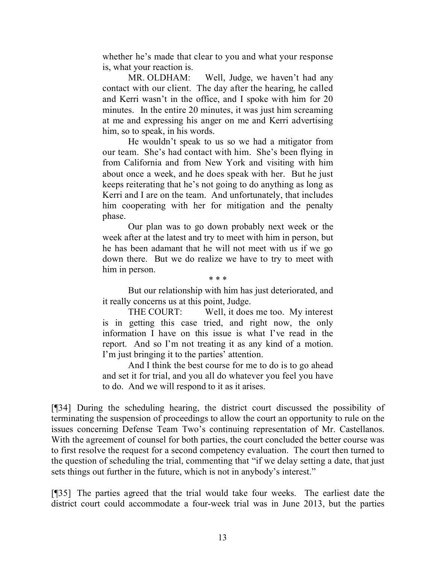whether he's made that clear to you and what your response is, what your reaction is.

MR. OLDHAM: Well, Judge, we haven't had any contact with our client. The day after the hearing, he called and Kerri wasn't in the office, and I spoke with him for 20 minutes. In the entire 20 minutes, it was just him screaming at me and expressing his anger on me and Kerri advertising him, so to speak, in his words.

He wouldn't speak to us so we had a mitigator from our team. She's had contact with him. She's been flying in from California and from New York and visiting with him about once a week, and he does speak with her. But he just keeps reiterating that he's not going to do anything as long as Kerri and I are on the team. And unfortunately, that includes him cooperating with her for mitigation and the penalty phase.

Our plan was to go down probably next week or the week after at the latest and try to meet with him in person, but he has been adamant that he will not meet with us if we go down there. But we do realize we have to try to meet with him in person.

But our relationship with him has just deteriorated, and it really concerns us at this point, Judge.

\* \* \*

THE COURT: Well, it does me too. My interest is in getting this case tried, and right now, the only information I have on this issue is what I've read in the report. And so I'm not treating it as any kind of a motion. I'm just bringing it to the parties' attention.

And I think the best course for me to do is to go ahead and set it for trial, and you all do whatever you feel you have to do. And we will respond to it as it arises.

[¶34] During the scheduling hearing, the district court discussed the possibility of terminating the suspension of proceedings to allow the court an opportunity to rule on the issues concerning Defense Team Two's continuing representation of Mr. Castellanos. With the agreement of counsel for both parties, the court concluded the better course was to first resolve the request for a second competency evaluation. The court then turned to the question of scheduling the trial, commenting that "if we delay setting a date, that just sets things out further in the future, which is not in anybody's interest."

[¶35] The parties agreed that the trial would take four weeks. The earliest date the district court could accommodate a four-week trial was in June 2013, but the parties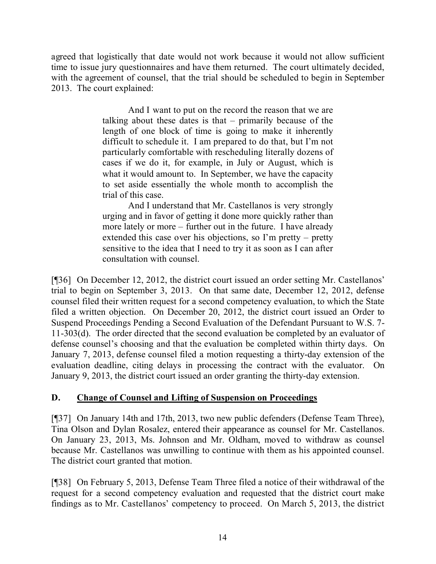agreed that logistically that date would not work because it would not allow sufficient time to issue jury questionnaires and have them returned. The court ultimately decided, with the agreement of counsel, that the trial should be scheduled to begin in September 2013. The court explained:

> And I want to put on the record the reason that we are talking about these dates is that – primarily because of the length of one block of time is going to make it inherently difficult to schedule it. I am prepared to do that, but I'm not particularly comfortable with rescheduling literally dozens of cases if we do it, for example, in July or August, which is what it would amount to. In September, we have the capacity to set aside essentially the whole month to accomplish the trial of this case.

> And I understand that Mr. Castellanos is very strongly urging and in favor of getting it done more quickly rather than more lately or more – further out in the future. I have already extended this case over his objections, so I'm pretty – pretty sensitive to the idea that I need to try it as soon as I can after consultation with counsel.

[¶36] On December 12, 2012, the district court issued an order setting Mr. Castellanos' trial to begin on September 3, 2013. On that same date, December 12, 2012, defense counsel filed their written request for a second competency evaluation, to which the State filed a written objection. On December 20, 2012, the district court issued an Order to Suspend Proceedings Pending a Second Evaluation of the Defendant Pursuant to W.S. 7- 11-303(d). The order directed that the second evaluation be completed by an evaluator of defense counsel's choosing and that the evaluation be completed within thirty days. On January 7, 2013, defense counsel filed a motion requesting a thirty-day extension of the evaluation deadline, citing delays in processing the contract with the evaluator. On January 9, 2013, the district court issued an order granting the thirty-day extension.

# **D. Change of Counsel and Lifting of Suspension on Proceedings**

[¶37] On January 14th and 17th, 2013, two new public defenders (Defense Team Three), Tina Olson and Dylan Rosalez, entered their appearance as counsel for Mr. Castellanos. On January 23, 2013, Ms. Johnson and Mr. Oldham, moved to withdraw as counsel because Mr. Castellanos was unwilling to continue with them as his appointed counsel. The district court granted that motion.

[¶38] On February 5, 2013, Defense Team Three filed a notice of their withdrawal of the request for a second competency evaluation and requested that the district court make findings as to Mr. Castellanos' competency to proceed. On March 5, 2013, the district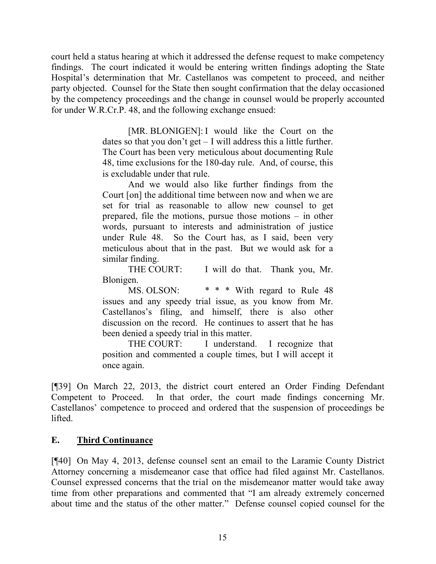court held a status hearing at which it addressed the defense request to make competency findings. The court indicated it would be entering written findings adopting the State Hospital's determination that Mr. Castellanos was competent to proceed, and neither party objected. Counsel for the State then sought confirmation that the delay occasioned by the competency proceedings and the change in counsel would be properly accounted for under W.R.Cr.P. 48, and the following exchange ensued:

> [MR. BLONIGEN]: I would like the Court on the dates so that you don't get – I will address this a little further. The Court has been very meticulous about documenting Rule 48, time exclusions for the 180-day rule. And, of course, this is excludable under that rule.

> And we would also like further findings from the Court [on] the additional time between now and when we are set for trial as reasonable to allow new counsel to get prepared, file the motions, pursue those motions – in other words, pursuant to interests and administration of justice under Rule 48. So the Court has, as I said, been very meticulous about that in the past. But we would ask for a similar finding.

> THE COURT: I will do that. Thank you, Mr. Blonigen.

> MS. OLSON:  $* * *$  With regard to Rule 48 issues and any speedy trial issue, as you know from Mr. Castellanos's filing, and himself, there is also other discussion on the record. He continues to assert that he has been denied a speedy trial in this matter.

> THE COURT: I understand. I recognize that position and commented a couple times, but I will accept it once again.

[¶39] On March 22, 2013, the district court entered an Order Finding Defendant Competent to Proceed. In that order, the court made findings concerning Mr. Castellanos' competence to proceed and ordered that the suspension of proceedings be lifted.

#### **E. Third Continuance**

[¶40] On May 4, 2013, defense counsel sent an email to the Laramie County District Attorney concerning a misdemeanor case that office had filed against Mr. Castellanos. Counsel expressed concerns that the trial on the misdemeanor matter would take away time from other preparations and commented that "I am already extremely concerned about time and the status of the other matter." Defense counsel copied counsel for the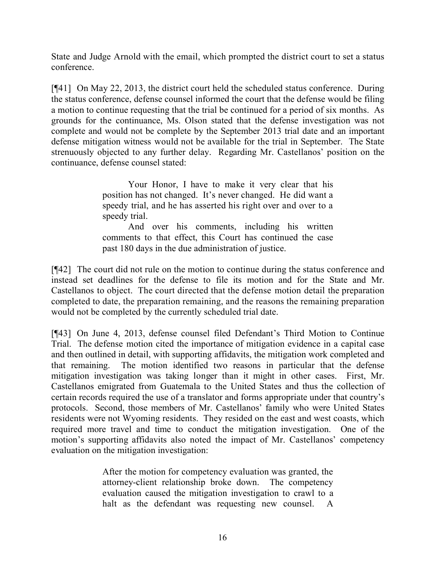State and Judge Arnold with the email, which prompted the district court to set a status conference.

[¶41] On May 22, 2013, the district court held the scheduled status conference. During the status conference, defense counsel informed the court that the defense would be filing a motion to continue requesting that the trial be continued for a period of six months. As grounds for the continuance, Ms. Olson stated that the defense investigation was not complete and would not be complete by the September 2013 trial date and an important defense mitigation witness would not be available for the trial in September. The State strenuously objected to any further delay. Regarding Mr. Castellanos' position on the continuance, defense counsel stated:

> Your Honor, I have to make it very clear that his position has not changed. It's never changed. He did want a speedy trial, and he has asserted his right over and over to a speedy trial.

> And over his comments, including his written comments to that effect, this Court has continued the case past 180 days in the due administration of justice.

[¶42] The court did not rule on the motion to continue during the status conference and instead set deadlines for the defense to file its motion and for the State and Mr. Castellanos to object. The court directed that the defense motion detail the preparation completed to date, the preparation remaining, and the reasons the remaining preparation would not be completed by the currently scheduled trial date.

[¶43] On June 4, 2013, defense counsel filed Defendant's Third Motion to Continue Trial. The defense motion cited the importance of mitigation evidence in a capital case and then outlined in detail, with supporting affidavits, the mitigation work completed and that remaining. The motion identified two reasons in particular that the defense mitigation investigation was taking longer than it might in other cases. First, Mr. Castellanos emigrated from Guatemala to the United States and thus the collection of certain records required the use of a translator and forms appropriate under that country's protocols. Second, those members of Mr. Castellanos' family who were United States residents were not Wyoming residents. They resided on the east and west coasts, which required more travel and time to conduct the mitigation investigation. One of the motion's supporting affidavits also noted the impact of Mr. Castellanos' competency evaluation on the mitigation investigation:

> After the motion for competency evaluation was granted, the attorney-client relationship broke down. The competency evaluation caused the mitigation investigation to crawl to a halt as the defendant was requesting new counsel. A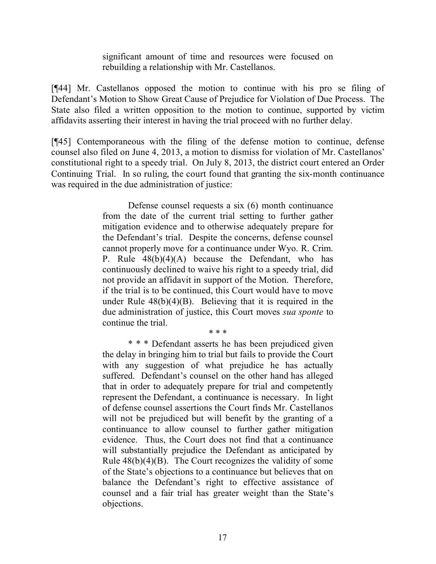significant amount of time and resources were focused on rebuilding a relationship with Mr. Castellanos.

[¶44] Mr. Castellanos opposed the motion to continue with his pro se filing of Defendant's Motion to Show Great Cause of Prejudice for Violation of Due Process. The State also filed a written opposition to the motion to continue, supported by victim affidavits asserting their interest in having the trial proceed with no further delay.

[¶45] Contemporaneous with the filing of the defense motion to continue, defense counsel also filed on June 4, 2013, a motion to dismiss for violation of Mr. Castellanos' constitutional right to a speedy trial. On July 8, 2013, the district court entered an Order Continuing Trial. In so ruling, the court found that granting the six-month continuance was required in the due administration of justice:

> Defense counsel requests a six (6) month continuance from the date of the current trial setting to further gather mitigation evidence and to otherwise adequately prepare for the Defendant's trial. Despite the concerns, defense counsel cannot properly move for a continuance under Wyo. R. Crim. P. Rule 48(b)(4)(A) because the Defendant, who has continuously declined to waive his right to a speedy trial, did not provide an affidavit in support of the Motion. Therefore, if the trial is to be continued, this Court would have to move under Rule  $48(b)(4)(B)$ . Believing that it is required in the due administration of justice, this Court moves *sua sponte* to continue the trial.

> > \* \* \*

\* \* \* Defendant asserts he has been prejudiced given the delay in bringing him to trial but fails to provide the Court with any suggestion of what prejudice he has actually suffered. Defendant's counsel on the other hand has alleged that in order to adequately prepare for trial and competently represent the Defendant, a continuance is necessary. In light of defense counsel assertions the Court finds Mr. Castellanos will not be prejudiced but will benefit by the granting of a continuance to allow counsel to further gather mitigation evidence. Thus, the Court does not find that a continuance will substantially prejudice the Defendant as anticipated by Rule  $48(b)(4)(B)$ . The Court recognizes the validity of some of the State's objections to a continuance but believes that on balance the Defendant's right to effective assistance of counsel and a fair trial has greater weight than the State's objections.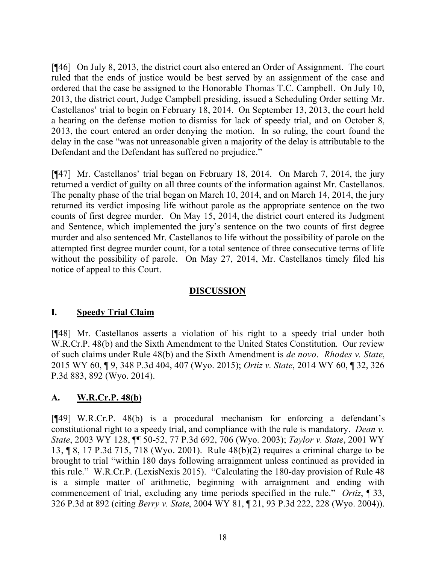[¶46] On July 8, 2013, the district court also entered an Order of Assignment. The court ruled that the ends of justice would be best served by an assignment of the case and ordered that the case be assigned to the Honorable Thomas T.C. Campbell. On July 10, 2013, the district court, Judge Campbell presiding, issued a Scheduling Order setting Mr. Castellanos' trial to begin on February 18, 2014. On September 13, 2013, the court held a hearing on the defense motion to dismiss for lack of speedy trial, and on October 8, 2013, the court entered an order denying the motion. In so ruling, the court found the delay in the case "was not unreasonable given a majority of the delay is attributable to the Defendant and the Defendant has suffered no prejudice."

[¶47] Mr. Castellanos' trial began on February 18, 2014. On March 7, 2014, the jury returned a verdict of guilty on all three counts of the information against Mr. Castellanos. The penalty phase of the trial began on March 10, 2014, and on March 14, 2014, the jury returned its verdict imposing life without parole as the appropriate sentence on the two counts of first degree murder. On May 15, 2014, the district court entered its Judgment and Sentence, which implemented the jury's sentence on the two counts of first degree murder and also sentenced Mr. Castellanos to life without the possibility of parole on the attempted first degree murder count, for a total sentence of three consecutive terms of life without the possibility of parole. On May 27, 2014, Mr. Castellanos timely filed his notice of appeal to this Court.

#### **DISCUSSION**

#### **I. Speedy Trial Claim**

[¶48] Mr. Castellanos asserts a violation of his right to a speedy trial under both W.R.Cr.P. 48(b) and the Sixth Amendment to the United States Constitution. Our review of such claims under Rule 48(b) and the Sixth Amendment is *de novo*. *Rhodes v. State*, 2015 WY 60, ¶ 9, 348 P.3d 404, 407 (Wyo. 2015); *Ortiz v. State*, 2014 WY 60, ¶ 32, 326 P.3d 883, 892 (Wyo. 2014).

#### **A. W.R.Cr.P. 48(b)**

[¶49] W.R.Cr.P. 48(b) is a procedural mechanism for enforcing a defendant's constitutional right to a speedy trial, and compliance with the rule is mandatory. *Dean v. State*, 2003 WY 128, ¶¶ 50-52, 77 P.3d 692, 706 (Wyo. 2003); *Taylor v. State*, 2001 WY 13, ¶ 8, 17 P.3d 715, 718 (Wyo. 2001). Rule 48(b)(2) requires a criminal charge to be brought to trial "within 180 days following arraignment unless continued as provided in this rule." W.R.Cr.P. (LexisNexis 2015). "Calculating the 180-day provision of Rule 48 is a simple matter of arithmetic, beginning with arraignment and ending with commencement of trial, excluding any time periods specified in the rule." *Ortiz*, ¶ 33, 326 P.3d at 892 (citing *Berry v. State*, 2004 WY 81, ¶ 21, 93 P.3d 222, 228 (Wyo. 2004)).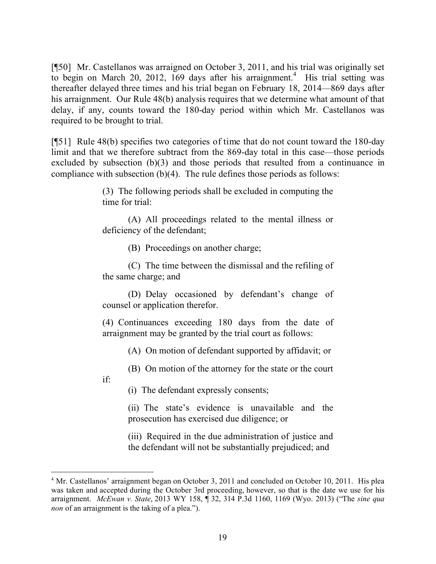[¶50] Mr. Castellanos was arraigned on October 3, 2011, and his trial was originally set to begin on March 20, 2012, 169 days after his arraignment.<sup>4</sup> His trial setting was thereafter delayed three times and his trial began on February 18, 2014—869 days after his arraignment. Our Rule 48(b) analysis requires that we determine what amount of that delay, if any, counts toward the 180-day period within which Mr. Castellanos was required to be brought to trial.

[¶51] Rule 48(b) specifies two categories of time that do not count toward the 180-day limit and that we therefore subtract from the 869-day total in this case—those periods excluded by subsection (b)(3) and those periods that resulted from a continuance in compliance with subsection (b)(4). The rule defines those periods as follows:

> (3) The following periods shall be excluded in computing the time for trial:

> (A) All proceedings related to the mental illness or deficiency of the defendant;

> > (B) Proceedings on another charge;

(C) The time between the dismissal and the refiling of the same charge; and

(D) Delay occasioned by defendant's change of counsel or application therefor.

(4) Continuances exceeding 180 days from the date of arraignment may be granted by the trial court as follows:

(A) On motion of defendant supported by affidavit; or

(B) On motion of the attorney for the state or the court

if:

 $\overline{a}$ 

(i) The defendant expressly consents;

(ii) The state's evidence is unavailable and the prosecution has exercised due diligence; or

(iii) Required in the due administration of justice and the defendant will not be substantially prejudiced; and

<sup>4</sup> Mr. Castellanos' arraignment began on October 3, 2011 and concluded on October 10, 2011. His plea was taken and accepted during the October 3rd proceeding, however, so that is the date we use for his arraignment. *McEwan v. State*, 2013 WY 158, ¶ 32, 314 P.3d 1160, 1169 (Wyo. 2013) ("The *sine qua non* of an arraignment is the taking of a plea.").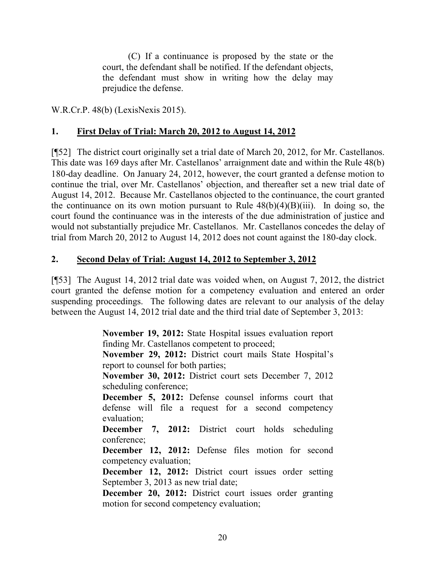(C) If a continuance is proposed by the state or the court, the defendant shall be notified. If the defendant objects, the defendant must show in writing how the delay may prejudice the defense.

W.R.Cr.P. 48(b) (LexisNexis 2015).

# **1. First Delay of Trial: March 20, 2012 to August 14, 2012**

[¶52] The district court originally set a trial date of March 20, 2012, for Mr. Castellanos. This date was 169 days after Mr. Castellanos' arraignment date and within the Rule 48(b) 180-day deadline. On January 24, 2012, however, the court granted a defense motion to continue the trial, over Mr. Castellanos' objection, and thereafter set a new trial date of August 14, 2012. Because Mr. Castellanos objected to the continuance, the court granted the continuance on its own motion pursuant to Rule  $48(b)(4)(B)(iii)$ . In doing so, the court found the continuance was in the interests of the due administration of justice and would not substantially prejudice Mr. Castellanos. Mr. Castellanos concedes the delay of trial from March 20, 2012 to August 14, 2012 does not count against the 180-day clock.

### **2. Second Delay of Trial: August 14, 2012 to September 3, 2012**

[¶53] The August 14, 2012 trial date was voided when, on August 7, 2012, the district court granted the defense motion for a competency evaluation and entered an order suspending proceedings. The following dates are relevant to our analysis of the delay between the August 14, 2012 trial date and the third trial date of September 3, 2013:

> **November 19, 2012:** State Hospital issues evaluation report finding Mr. Castellanos competent to proceed; **November 29, 2012:** District court mails State Hospital's report to counsel for both parties; **November 30, 2012:** District court sets December 7, 2012 scheduling conference; **December 5, 2012:** Defense counsel informs court that defense will file a request for a second competency evaluation; **December 7, 2012:** District court holds scheduling conference; **December 12, 2012:** Defense files motion for second competency evaluation; **December 12, 2012:** District court issues order setting September 3, 2013 as new trial date; **December 20, 2012:** District court issues order granting motion for second competency evaluation;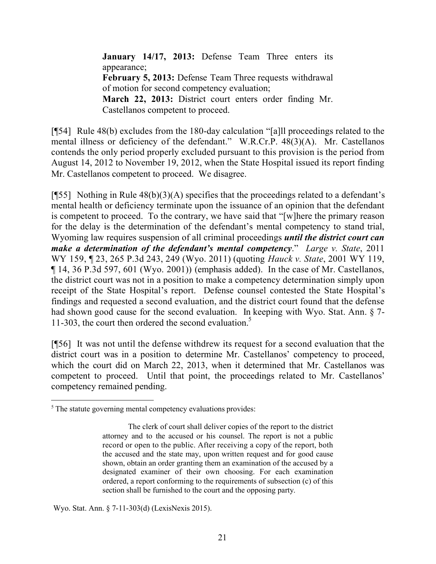**January 14/17, 2013:** Defense Team Three enters its appearance; **February 5, 2013:** Defense Team Three requests withdrawal of motion for second competency evaluation; **March 22, 2013:** District court enters order finding Mr. Castellanos competent to proceed.

[¶54] Rule 48(b) excludes from the 180-day calculation "[a]ll proceedings related to the mental illness or deficiency of the defendant." W.R.Cr.P. 48(3)(A). Mr. Castellanos contends the only period properly excluded pursuant to this provision is the period from August 14, 2012 to November 19, 2012, when the State Hospital issued its report finding Mr. Castellanos competent to proceed. We disagree.

[ $[55]$ ] Nothing in Rule 48(b)(3)(A) specifies that the proceedings related to a defendant's mental health or deficiency terminate upon the issuance of an opinion that the defendant is competent to proceed. To the contrary, we have said that "[w]here the primary reason for the delay is the determination of the defendant's mental competency to stand trial, Wyoming law requires suspension of all criminal proceedings *until the district court can make a determination of the defendant's mental competency*." *Large v. State*, 2011 WY 159, ¶ 23, 265 P.3d 243, 249 (Wyo. 2011) (quoting *Hauck v. State*, 2001 WY 119, ¶ 14, 36 P.3d 597, 601 (Wyo. 2001)) (emphasis added). In the case of Mr. Castellanos, the district court was not in a position to make a competency determination simply upon receipt of the State Hospital's report. Defense counsel contested the State Hospital's findings and requested a second evaluation, and the district court found that the defense had shown good cause for the second evaluation. In keeping with Wyo. Stat. Ann. § 7- 11-303, the court then ordered the second evaluation.<sup>5</sup>

[¶56] It was not until the defense withdrew its request for a second evaluation that the district court was in a position to determine Mr. Castellanos' competency to proceed, which the court did on March 22, 2013, when it determined that Mr. Castellanos was competent to proceed. Until that point, the proceedings related to Mr. Castellanos' competency remained pending.

Wyo. Stat. Ann. § 7-11-303(d) (LexisNexis 2015).

 $\overline{a}$ 

<sup>&</sup>lt;sup>5</sup> The statute governing mental competency evaluations provides:

The clerk of court shall deliver copies of the report to the district attorney and to the accused or his counsel. The report is not a public record or open to the public. After receiving a copy of the report, both the accused and the state may, upon written request and for good cause shown, obtain an order granting them an examination of the accused by a designated examiner of their own choosing. For each examination ordered, a report conforming to the requirements of subsection (c) of this section shall be furnished to the court and the opposing party.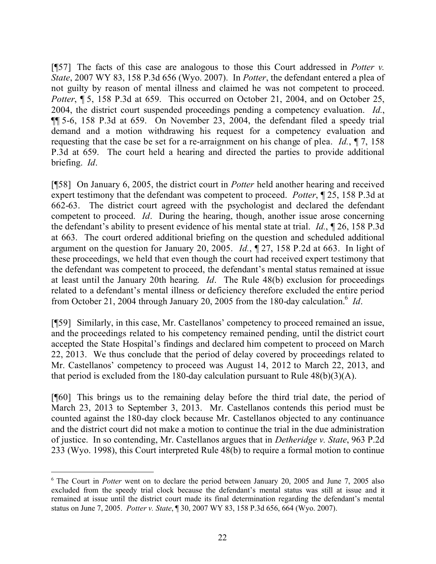[¶57] The facts of this case are analogous to those this Court addressed in *Potter v. State*, 2007 WY 83, 158 P.3d 656 (Wyo. 2007). In *Potter*, the defendant entered a plea of not guilty by reason of mental illness and claimed he was not competent to proceed. *Potter*, **[15, 158 P.3d at 659.** This occurred on October 21, 2004, and on October 25, 2004, the district court suspended proceedings pending a competency evaluation. *Id.*, ¶¶ 5-6, 158 P.3d at 659. On November 23, 2004, the defendant filed a speedy trial demand and a motion withdrawing his request for a competency evaluation and requesting that the case be set for a re-arraignment on his change of plea. *Id.*, ¶ 7, 158 P.3d at 659. The court held a hearing and directed the parties to provide additional briefing. *Id*.

[¶58] On January 6, 2005, the district court in *Potter* held another hearing and received expert testimony that the defendant was competent to proceed. *Potter*, ¶ 25, 158 P.3d at 662-63. The district court agreed with the psychologist and declared the defendant competent to proceed. *Id*. During the hearing, though, another issue arose concerning the defendant's ability to present evidence of his mental state at trial. *Id.*, ¶ 26, 158 P.3d at 663. The court ordered additional briefing on the question and scheduled additional argument on the question for January 20, 2005. *Id.*, ¶ 27, 158 P.2d at 663. In light of these proceedings, we held that even though the court had received expert testimony that the defendant was competent to proceed, the defendant's mental status remained at issue at least until the January 20th hearing. *Id*. The Rule 48(b) exclusion for proceedings related to a defendant's mental illness or deficiency therefore excluded the entire period from October 21, 2004 through January 20, 2005 from the 180-day calculation.<sup>6</sup> *Id*.

[¶59] Similarly, in this case, Mr. Castellanos' competency to proceed remained an issue, and the proceedings related to his competency remained pending, until the district court accepted the State Hospital's findings and declared him competent to proceed on March 22, 2013. We thus conclude that the period of delay covered by proceedings related to Mr. Castellanos' competency to proceed was August 14, 2012 to March 22, 2013, and that period is excluded from the 180-day calculation pursuant to Rule  $48(b)(3)(A)$ .

[¶60] This brings us to the remaining delay before the third trial date, the period of March 23, 2013 to September 3, 2013. Mr. Castellanos contends this period must be counted against the 180-day clock because Mr. Castellanos objected to any continuance and the district court did not make a motion to continue the trial in the due administration of justice. In so contending, Mr. Castellanos argues that in *Detheridge v. State*, 963 P.2d 233 (Wyo. 1998), this Court interpreted Rule 48(b) to require a formal motion to continue

 $\overline{a}$ 

<sup>6</sup> The Court in *Potter* went on to declare the period between January 20, 2005 and June 7, 2005 also excluded from the speedy trial clock because the defendant's mental status was still at issue and it remained at issue until the district court made its final determination regarding the defendant's mental status on June 7, 2005. *Potter v. State*, ¶ 30, 2007 WY 83, 158 P.3d 656, 664 (Wyo. 2007).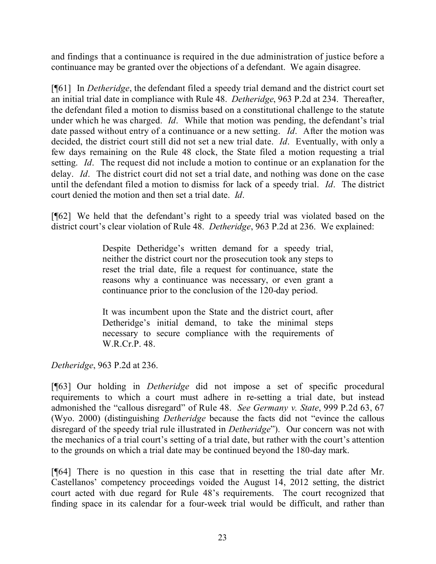and findings that a continuance is required in the due administration of justice before a continuance may be granted over the objections of a defendant. We again disagree.

[¶61] In *Detheridge*, the defendant filed a speedy trial demand and the district court set an initial trial date in compliance with Rule 48. *Detheridge*, 963 P.2d at 234. Thereafter, the defendant filed a motion to dismiss based on a constitutional challenge to the statute under which he was charged. *Id*. While that motion was pending, the defendant's trial date passed without entry of a continuance or a new setting. *Id*. After the motion was decided, the district court still did not set a new trial date. *Id*. Eventually, with only a few days remaining on the Rule 48 clock, the State filed a motion requesting a trial setting. *Id*. The request did not include a motion to continue or an explanation for the delay. *Id*. The district court did not set a trial date, and nothing was done on the case until the defendant filed a motion to dismiss for lack of a speedy trial. *Id*. The district court denied the motion and then set a trial date. *Id*.

[¶62] We held that the defendant's right to a speedy trial was violated based on the district court's clear violation of Rule 48. *Detheridge*, 963 P.2d at 236. We explained:

> Despite Detheridge's written demand for a speedy trial, neither the district court nor the prosecution took any steps to reset the trial date, file a request for continuance, state the reasons why a continuance was necessary, or even grant a continuance prior to the conclusion of the 120-day period.

> It was incumbent upon the State and the district court, after Detheridge's initial demand, to take the minimal steps necessary to secure compliance with the requirements of W.R.Cr.P. 48.

*Detheridge*, 963 P.2d at 236.

[¶63] Our holding in *Detheridge* did not impose a set of specific procedural requirements to which a court must adhere in re-setting a trial date, but instead admonished the "callous disregard" of Rule 48. *See Germany v. State*, 999 P.2d 63, 67 (Wyo. 2000) (distinguishing *Detheridge* because the facts did not "evince the callous disregard of the speedy trial rule illustrated in *Detheridge*"). Our concern was not with the mechanics of a trial court's setting of a trial date, but rather with the court's attention to the grounds on which a trial date may be continued beyond the 180-day mark.

[¶64] There is no question in this case that in resetting the trial date after Mr. Castellanos' competency proceedings voided the August 14, 2012 setting, the district court acted with due regard for Rule 48's requirements. The court recognized that finding space in its calendar for a four-week trial would be difficult, and rather than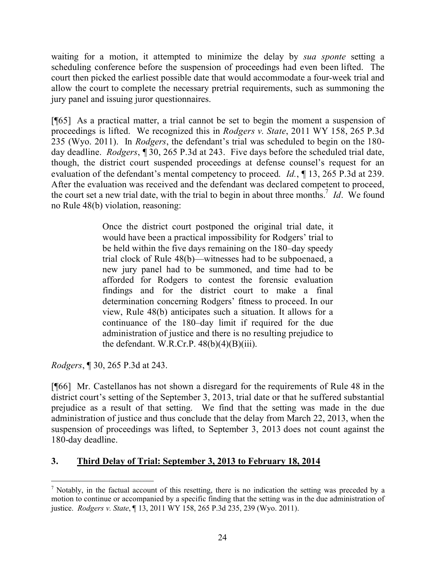waiting for a motion, it attempted to minimize the delay by *sua sponte* setting a scheduling conference before the suspension of proceedings had even been lifted. The court then picked the earliest possible date that would accommodate a four-week trial and allow the court to complete the necessary pretrial requirements, such as summoning the jury panel and issuing juror questionnaires.

[¶65] As a practical matter, a trial cannot be set to begin the moment a suspension of proceedings is lifted. We recognized this in *Rodgers v. State*, 2011 WY 158, 265 P.3d 235 (Wyo. 2011). In *Rodgers*, the defendant's trial was scheduled to begin on the 180 day deadline. *Rodgers*, ¶ 30, 265 P.3d at 243. Five days before the scheduled trial date, though, the district court suspended proceedings at defense counsel's request for an evaluation of the defendant's mental competency to proceed. *Id.*, ¶ 13, 265 P.3d at 239. After the evaluation was received and the defendant was declared competent to proceed, the court set a new trial date, with the trial to begin in about three months.<sup>7</sup> *Id*. We found no Rule 48(b) violation, reasoning:

> Once the district court postponed the original trial date, it would have been a practical impossibility for Rodgers' trial to be held within the five days remaining on the 180–day speedy trial clock of Rule 48(b)—witnesses had to be subpoenaed, a new jury panel had to be summoned, and time had to be afforded for Rodgers to contest the forensic evaluation findings and for the district court to make a final determination concerning Rodgers' fitness to proceed. In our view, Rule 48(b) anticipates such a situation. It allows for a continuance of the 180–day limit if required for the due administration of justice and there is no resulting prejudice to the defendant. W.R.Cr.P.  $48(b)(4)(B)(iii)$ .

*Rodgers*, ¶ 30, 265 P.3d at 243.

[¶66] Mr. Castellanos has not shown a disregard for the requirements of Rule 48 in the district court's setting of the September 3, 2013, trial date or that he suffered substantial prejudice as a result of that setting. We find that the setting was made in the due administration of justice and thus conclude that the delay from March 22, 2013, when the suspension of proceedings was lifted, to September 3, 2013 does not count against the 180-day deadline.

# **3. Third Delay of Trial: September 3, 2013 to February 18, 2014**

 <sup>7</sup> Notably, in the factual account of this resetting, there is no indication the setting was preceded by a motion to continue or accompanied by a specific finding that the setting was in the due administration of justice. *Rodgers v. State*, ¶ 13, 2011 WY 158, 265 P.3d 235, 239 (Wyo. 2011).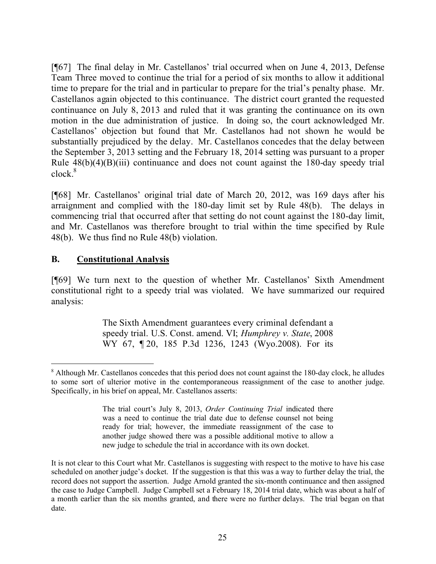[¶67] The final delay in Mr. Castellanos' trial occurred when on June 4, 2013, Defense Team Three moved to continue the trial for a period of six months to allow it additional time to prepare for the trial and in particular to prepare for the trial's penalty phase. Mr. Castellanos again objected to this continuance. The district court granted the requested continuance on July 8, 2013 and ruled that it was granting the continuance on its own motion in the due administration of justice. In doing so, the court acknowledged Mr. Castellanos' objection but found that Mr. Castellanos had not shown he would be substantially prejudiced by the delay. Mr. Castellanos concedes that the delay between the September 3, 2013 setting and the February 18, 2014 setting was pursuant to a proper Rule  $48(b)(4)(B)(iii)$  continuance and does not count against the 180-day speedy trial  $clock<sup>8</sup>$ 

[¶68] Mr. Castellanos' original trial date of March 20, 2012, was 169 days after his arraignment and complied with the 180-day limit set by Rule 48(b). The delays in commencing trial that occurred after that setting do not count against the 180-day limit, and Mr. Castellanos was therefore brought to trial within the time specified by Rule 48(b). We thus find no Rule 48(b) violation.

#### **B. Constitutional Analysis**

[¶69] We turn next to the question of whether Mr. Castellanos' Sixth Amendment constitutional right to a speedy trial was violated. We have summarized our required analysis:

> The Sixth Amendment guarantees every criminal defendant a speedy trial. U.S. Const. amend. VI; *Humphrey v. State*, 2008 WY 67, ¶ 20, 185 P.3d 1236, 1243 (Wyo.2008). For its

<sup>8</sup> Although Mr. Castellanos concedes that this period does not count against the 180-day clock, he alludes to some sort of ulterior motive in the contemporaneous reassignment of the case to another judge. Specifically, in his brief on appeal, Mr. Castellanos asserts:

The trial court's July 8, 2013, *Order Continuing Trial* indicated there was a need to continue the trial date due to defense counsel not being ready for trial; however, the immediate reassignment of the case to another judge showed there was a possible additional motive to allow a new judge to schedule the trial in accordance with its own docket.

It is not clear to this Court what Mr. Castellanos is suggesting with respect to the motive to have his case scheduled on another judge's docket. If the suggestion is that this was a way to further delay the trial, the record does not support the assertion. Judge Arnold granted the six-month continuance and then assigned the case to Judge Campbell. Judge Campbell set a February 18, 2014 trial date, which was about a half of a month earlier than the six months granted, and there were no further delays. The trial began on that date.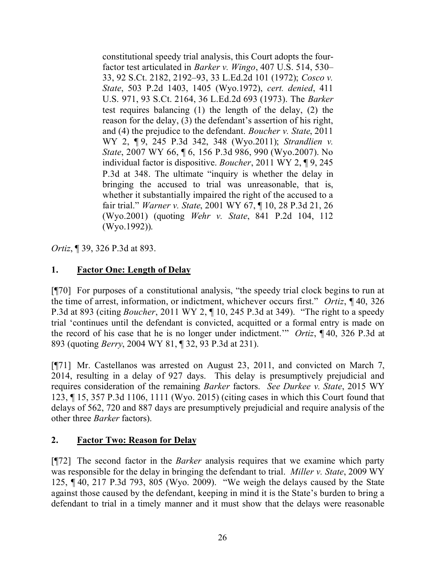constitutional speedy trial analysis, this Court adopts the fourfactor test articulated in *Barker v. Wingo*, 407 U.S. 514, 530– 33, 92 S.Ct. 2182, 2192–93, 33 L.Ed.2d 101 (1972); *Cosco v. State*, 503 P.2d 1403, 1405 (Wyo.1972), *cert. denied*, 411 U.S. 971, 93 S.Ct. 2164, 36 L.Ed.2d 693 (1973). The *Barker* test requires balancing (1) the length of the delay, (2) the reason for the delay, (3) the defendant's assertion of his right, and (4) the prejudice to the defendant. *Boucher v. State*, 2011 WY 2, ¶ 9, 245 P.3d 342, 348 (Wyo.2011); *Strandlien v. State*, 2007 WY 66, ¶ 6, 156 P.3d 986, 990 (Wyo.2007). No individual factor is dispositive. *Boucher*, 2011 WY 2, ¶ 9, 245 P.3d at 348. The ultimate "inquiry is whether the delay in bringing the accused to trial was unreasonable, that is, whether it substantially impaired the right of the accused to a fair trial." *Warner v. State*, 2001 WY 67, ¶ 10, 28 P.3d 21, 26 (Wyo.2001) (quoting *Wehr v. State*, 841 P.2d 104, 112 (Wyo.1992)).

*Ortiz*, ¶ 39, 326 P.3d at 893.

# **1. Factor One: Length of Delay**

[¶70] For purposes of a constitutional analysis, "the speedy trial clock begins to run at the time of arrest, information, or indictment, whichever occurs first." *Ortiz*, ¶ 40, 326 P.3d at 893 (citing *Boucher*, 2011 WY 2, ¶ 10, 245 P.3d at 349). "The right to a speedy trial 'continues until the defendant is convicted, acquitted or a formal entry is made on the record of his case that he is no longer under indictment.'" *Ortiz*, ¶ 40, 326 P.3d at 893 (quoting *Berry*, 2004 WY 81, ¶ 32, 93 P.3d at 231).

[¶71] Mr. Castellanos was arrested on August 23, 2011, and convicted on March 7, 2014, resulting in a delay of 927 days. This delay is presumptively prejudicial and requires consideration of the remaining *Barker* factors. *See Durkee v. State*, 2015 WY 123, ¶ 15, 357 P.3d 1106, 1111 (Wyo. 2015) (citing cases in which this Court found that delays of 562, 720 and 887 days are presumptively prejudicial and require analysis of the other three *Barker* factors).

# **2. Factor Two: Reason for Delay**

[¶72] The second factor in the *Barker* analysis requires that we examine which party was responsible for the delay in bringing the defendant to trial. *Miller v. State*, 2009 WY 125, ¶ 40, 217 P.3d 793, 805 (Wyo. 2009). "We weigh the delays caused by the State against those caused by the defendant, keeping in mind it is the State's burden to bring a defendant to trial in a timely manner and it must show that the delays were reasonable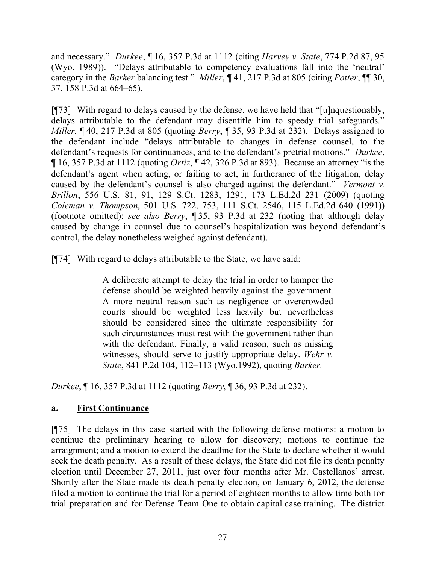and necessary." *Durkee*, ¶ 16, 357 P.3d at 1112 (citing *Harvey v. State*, 774 P.2d 87, 95 (Wyo. 1989)). "Delays attributable to competency evaluations fall into the 'neutral' category in the *Barker* balancing test." *Miller*, ¶ 41, 217 P.3d at 805 (citing *Potter*, ¶¶ 30, 37, 158 P.3d at 664–65).

[¶73] With regard to delays caused by the defense, we have held that "[u]nquestionably, delays attributable to the defendant may disentitle him to speedy trial safeguards." *Miller*, ¶ 40, 217 P.3d at 805 (quoting *Berry*, ¶ 35, 93 P.3d at 232). Delays assigned to the defendant include "delays attributable to changes in defense counsel, to the defendant's requests for continuances, and to the defendant's pretrial motions." *Durkee*, ¶ 16, 357 P.3d at 1112 (quoting *Ortiz*, ¶ 42, 326 P.3d at 893). Because an attorney "is the defendant's agent when acting, or failing to act, in furtherance of the litigation, delay caused by the defendant's counsel is also charged against the defendant." *Vermont v. Brillon*, 556 U.S. 81, 91, 129 S.Ct. 1283, 1291, 173 L.Ed.2d 231 (2009) (quoting *Coleman v. Thompson*, 501 U.S. 722, 753, 111 S.Ct. 2546, 115 L.Ed.2d 640 (1991)) (footnote omitted); *see also Berry*, ¶ 35, 93 P.3d at 232 (noting that although delay caused by change in counsel due to counsel's hospitalization was beyond defendant's control, the delay nonetheless weighed against defendant).

[¶74] With regard to delays attributable to the State, we have said:

A deliberate attempt to delay the trial in order to hamper the defense should be weighted heavily against the government. A more neutral reason such as negligence or overcrowded courts should be weighted less heavily but nevertheless should be considered since the ultimate responsibility for such circumstances must rest with the government rather than with the defendant. Finally, a valid reason, such as missing witnesses, should serve to justify appropriate delay. *Wehr v. State*, 841 P.2d 104, 112–113 (Wyo.1992), quoting *Barker.*

*Durkee*, ¶ 16, 357 P.3d at 1112 (quoting *Berry*, ¶ 36, 93 P.3d at 232).

# **a. First Continuance**

[¶75] The delays in this case started with the following defense motions: a motion to continue the preliminary hearing to allow for discovery; motions to continue the arraignment; and a motion to extend the deadline for the State to declare whether it would seek the death penalty. As a result of these delays, the State did not file its death penalty election until December 27, 2011, just over four months after Mr. Castellanos' arrest. Shortly after the State made its death penalty election, on January 6, 2012, the defense filed a motion to continue the trial for a period of eighteen months to allow time both for trial preparation and for Defense Team One to obtain capital case training. The district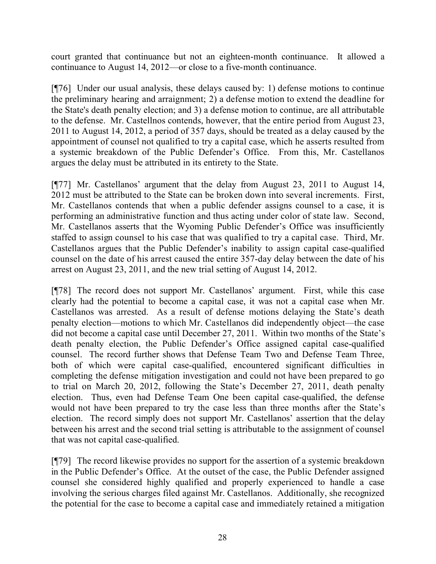court granted that continuance but not an eighteen-month continuance. It allowed a continuance to August 14, 2012—or close to a five-month continuance.

[¶76] Under our usual analysis, these delays caused by: 1) defense motions to continue the preliminary hearing and arraignment; 2) a defense motion to extend the deadline for the State's death penalty election; and 3) a defense motion to continue, are all attributable to the defense. Mr. Castellnos contends, however, that the entire period from August 23, 2011 to August 14, 2012, a period of 357 days, should be treated as a delay caused by the appointment of counsel not qualified to try a capital case, which he asserts resulted from a systemic breakdown of the Public Defender's Office. From this, Mr. Castellanos argues the delay must be attributed in its entirety to the State.

[¶77] Mr. Castellanos' argument that the delay from August 23, 2011 to August 14, 2012 must be attributed to the State can be broken down into several increments. First, Mr. Castellanos contends that when a public defender assigns counsel to a case, it is performing an administrative function and thus acting under color of state law. Second, Mr. Castellanos asserts that the Wyoming Public Defender's Office was insufficiently staffed to assign counsel to his case that was qualified to try a capital case. Third, Mr. Castellanos argues that the Public Defender's inability to assign capital case-qualified counsel on the date of his arrest caused the entire 357-day delay between the date of his arrest on August 23, 2011, and the new trial setting of August 14, 2012.

[¶78] The record does not support Mr. Castellanos' argument. First, while this case clearly had the potential to become a capital case, it was not a capital case when Mr. Castellanos was arrested. As a result of defense motions delaying the State's death penalty election—motions to which Mr. Castellanos did independently object—the case did not become a capital case until December 27, 2011. Within two months of the State's death penalty election, the Public Defender's Office assigned capital case-qualified counsel. The record further shows that Defense Team Two and Defense Team Three, both of which were capital case-qualified, encountered significant difficulties in completing the defense mitigation investigation and could not have been prepared to go to trial on March 20, 2012, following the State's December 27, 2011, death penalty election. Thus, even had Defense Team One been capital case-qualified, the defense would not have been prepared to try the case less than three months after the State's election. The record simply does not support Mr. Castellanos' assertion that the delay between his arrest and the second trial setting is attributable to the assignment of counsel that was not capital case-qualified.

[¶79] The record likewise provides no support for the assertion of a systemic breakdown in the Public Defender's Office. At the outset of the case, the Public Defender assigned counsel she considered highly qualified and properly experienced to handle a case involving the serious charges filed against Mr. Castellanos. Additionally, she recognized the potential for the case to become a capital case and immediately retained a mitigation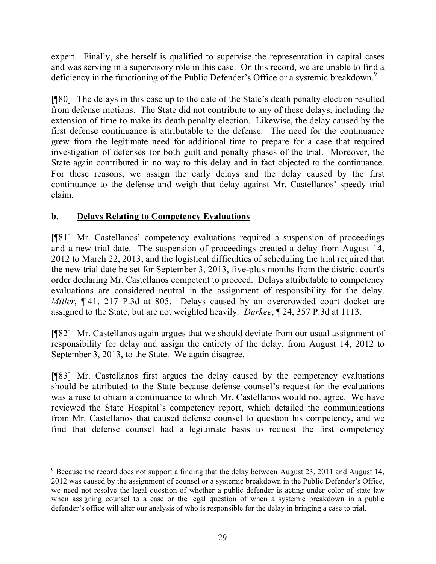expert. Finally, she herself is qualified to supervise the representation in capital cases and was serving in a supervisory role in this case. On this record, we are unable to find a deficiency in the functioning of the Public Defender's Office or a systemic breakdown.<sup>9</sup>

[¶80] The delays in this case up to the date of the State's death penalty election resulted from defense motions. The State did not contribute to any of these delays, including the extension of time to make its death penalty election. Likewise, the delay caused by the first defense continuance is attributable to the defense. The need for the continuance grew from the legitimate need for additional time to prepare for a case that required investigation of defenses for both guilt and penalty phases of the trial. Moreover, the State again contributed in no way to this delay and in fact objected to the continuance. For these reasons, we assign the early delays and the delay caused by the first continuance to the defense and weigh that delay against Mr. Castellanos' speedy trial claim.

# **b. Delays Relating to Competency Evaluations**

[¶81] Mr. Castellanos' competency evaluations required a suspension of proceedings and a new trial date. The suspension of proceedings created a delay from August 14, 2012 to March 22, 2013, and the logistical difficulties of scheduling the trial required that the new trial date be set for September 3, 2013, five-plus months from the district court's order declaring Mr. Castellanos competent to proceed. Delays attributable to competency evaluations are considered neutral in the assignment of responsibility for the delay. *Miller*,  $\P$  41, 217 P.3d at 805. Delays caused by an overcrowded court docket are assigned to the State, but are not weighted heavily. *Durkee*, ¶ 24, 357 P.3d at 1113.

[¶82] Mr. Castellanos again argues that we should deviate from our usual assignment of responsibility for delay and assign the entirety of the delay, from August 14, 2012 to September 3, 2013, to the State. We again disagree.

[¶83] Mr. Castellanos first argues the delay caused by the competency evaluations should be attributed to the State because defense counsel's request for the evaluations was a ruse to obtain a continuance to which Mr. Castellanos would not agree. We have reviewed the State Hospital's competency report, which detailed the communications from Mr. Castellanos that caused defense counsel to question his competency, and we find that defense counsel had a legitimate basis to request the first competency

 <sup>9</sup> Because the record does not support a finding that the delay between August 23, 2011 and August 14, 2012 was caused by the assignment of counsel or a systemic breakdown in the Public Defender's Office, we need not resolve the legal question of whether a public defender is acting under color of state law when assigning counsel to a case or the legal question of when a systemic breakdown in a public defender's office will alter our analysis of who is responsible for the delay in bringing a case to trial.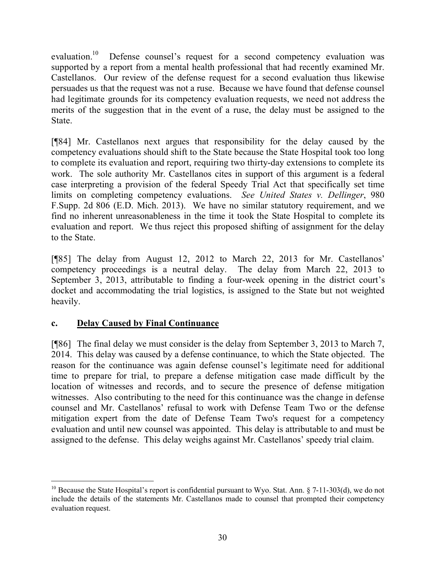evaluation.<sup>10</sup> Defense counsel's request for a second competency evaluation was supported by a report from a mental health professional that had recently examined Mr. Castellanos. Our review of the defense request for a second evaluation thus likewise persuades us that the request was not a ruse. Because we have found that defense counsel had legitimate grounds for its competency evaluation requests, we need not address the merits of the suggestion that in the event of a ruse, the delay must be assigned to the State.

[¶84] Mr. Castellanos next argues that responsibility for the delay caused by the competency evaluations should shift to the State because the State Hospital took too long to complete its evaluation and report, requiring two thirty-day extensions to complete its work. The sole authority Mr. Castellanos cites in support of this argument is a federal case interpreting a provision of the federal Speedy Trial Act that specifically set time limits on completing competency evaluations. *See United States v. Dellinger*, 980 F.Supp. 2d 806 (E.D. Mich. 2013). We have no similar statutory requirement, and we find no inherent unreasonableness in the time it took the State Hospital to complete its evaluation and report. We thus reject this proposed shifting of assignment for the delay to the State.

[¶85] The delay from August 12, 2012 to March 22, 2013 for Mr. Castellanos' competency proceedings is a neutral delay. The delay from March 22, 2013 to September 3, 2013, attributable to finding a four-week opening in the district court's docket and accommodating the trial logistics, is assigned to the State but not weighted heavily.

#### **c. Delay Caused by Final Continuance**

[¶86] The final delay we must consider is the delay from September 3, 2013 to March 7, 2014. This delay was caused by a defense continuance, to which the State objected. The reason for the continuance was again defense counsel's legitimate need for additional time to prepare for trial, to prepare a defense mitigation case made difficult by the location of witnesses and records, and to secure the presence of defense mitigation witnesses. Also contributing to the need for this continuance was the change in defense counsel and Mr. Castellanos' refusal to work with Defense Team Two or the defense mitigation expert from the date of Defense Team Two's request for a competency evaluation and until new counsel was appointed. This delay is attributable to and must be assigned to the defense. This delay weighs against Mr. Castellanos' speedy trial claim.

<sup>&</sup>lt;sup>10</sup> Because the State Hospital's report is confidential pursuant to Wyo. Stat. Ann.  $\S$  7-11-303(d), we do not include the details of the statements Mr. Castellanos made to counsel that prompted their competency evaluation request.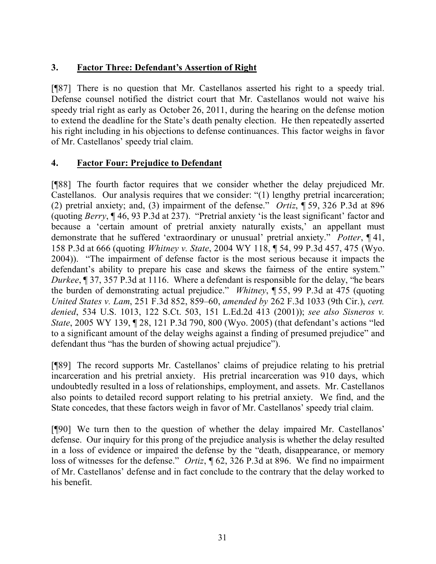# **3. Factor Three: Defendant's Assertion of Right**

[¶87] There is no question that Mr. Castellanos asserted his right to a speedy trial. Defense counsel notified the district court that Mr. Castellanos would not waive his speedy trial right as early as October 26, 2011, during the hearing on the defense motion to extend the deadline for the State's death penalty election. He then repeatedly asserted his right including in his objections to defense continuances. This factor weighs in favor of Mr. Castellanos' speedy trial claim.

### **4. Factor Four: Prejudice to Defendant**

[¶88] The fourth factor requires that we consider whether the delay prejudiced Mr. Castellanos. Our analysis requires that we consider: "(1) lengthy pretrial incarceration; (2) pretrial anxiety; and, (3) impairment of the defense." *Ortiz*, ¶ 59, 326 P.3d at 896 (quoting *Berry*, ¶ 46, 93 P.3d at 237). "Pretrial anxiety 'is the least significant' factor and because a 'certain amount of pretrial anxiety naturally exists,' an appellant must demonstrate that he suffered 'extraordinary or unusual' pretrial anxiety." *Potter*, ¶ 41, 158 P.3d at 666 (quoting *Whitney v. State*, 2004 WY 118, ¶ 54, 99 P.3d 457, 475 (Wyo. 2004)). "The impairment of defense factor is the most serious because it impacts the defendant's ability to prepare his case and skews the fairness of the entire system." *Durkee*, ¶ 37, 357 P.3d at 1116. Where a defendant is responsible for the delay, "he bears the burden of demonstrating actual prejudice." *Whitney*, ¶ 55, 99 P.3d at 475 (quoting *United States v. Lam*, 251 F.3d 852, 859–60, *amended by* 262 F.3d 1033 (9th Cir.), *cert. denied*, 534 U.S. 1013, 122 S.Ct. 503, 151 L.Ed.2d 413 (2001)); *see also Sisneros v. State*, 2005 WY 139, ¶ 28, 121 P.3d 790, 800 (Wyo. 2005) (that defendant's actions "led to a significant amount of the delay weighs against a finding of presumed prejudice" and defendant thus "has the burden of showing actual prejudice").

[¶89] The record supports Mr. Castellanos' claims of prejudice relating to his pretrial incarceration and his pretrial anxiety. His pretrial incarceration was 910 days, which undoubtedly resulted in a loss of relationships, employment, and assets. Mr. Castellanos also points to detailed record support relating to his pretrial anxiety. We find, and the State concedes, that these factors weigh in favor of Mr. Castellanos' speedy trial claim.

[¶90] We turn then to the question of whether the delay impaired Mr. Castellanos' defense. Our inquiry for this prong of the prejudice analysis is whether the delay resulted in a loss of evidence or impaired the defense by the "death, disappearance, or memory loss of witnesses for the defense." *Ortiz*, ¶ 62, 326 P.3d at 896. We find no impairment of Mr. Castellanos' defense and in fact conclude to the contrary that the delay worked to his benefit.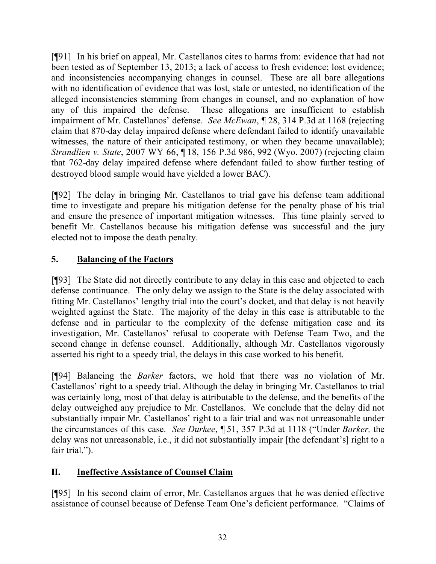[¶91] In his brief on appeal, Mr. Castellanos cites to harms from: evidence that had not been tested as of September 13, 2013; a lack of access to fresh evidence; lost evidence; and inconsistencies accompanying changes in counsel. These are all bare allegations with no identification of evidence that was lost, stale or untested, no identification of the alleged inconsistencies stemming from changes in counsel, and no explanation of how any of this impaired the defense. These allegations are insufficient to establish impairment of Mr. Castellanos' defense. *See McEwan*, ¶ 28, 314 P.3d at 1168 (rejecting claim that 870-day delay impaired defense where defendant failed to identify unavailable witnesses, the nature of their anticipated testimony, or when they became unavailable); *Strandlien v. State*, 2007 WY 66, ¶ 18, 156 P.3d 986, 992 (Wyo. 2007) (rejecting claim that 762-day delay impaired defense where defendant failed to show further testing of destroyed blood sample would have yielded a lower BAC).

[¶92] The delay in bringing Mr. Castellanos to trial gave his defense team additional time to investigate and prepare his mitigation defense for the penalty phase of his trial and ensure the presence of important mitigation witnesses. This time plainly served to benefit Mr. Castellanos because his mitigation defense was successful and the jury elected not to impose the death penalty.

# **5. Balancing of the Factors**

[¶93] The State did not directly contribute to any delay in this case and objected to each defense continuance. The only delay we assign to the State is the delay associated with fitting Mr. Castellanos' lengthy trial into the court's docket, and that delay is not heavily weighted against the State. The majority of the delay in this case is attributable to the defense and in particular to the complexity of the defense mitigation case and its investigation, Mr. Castellanos' refusal to cooperate with Defense Team Two, and the second change in defense counsel. Additionally, although Mr. Castellanos vigorously asserted his right to a speedy trial, the delays in this case worked to his benefit.

[¶94] Balancing the *Barker* factors, we hold that there was no violation of Mr. Castellanos' right to a speedy trial. Although the delay in bringing Mr. Castellanos to trial was certainly long, most of that delay is attributable to the defense, and the benefits of the delay outweighed any prejudice to Mr. Castellanos. We conclude that the delay did not substantially impair Mr. Castellanos' right to a fair trial and was not unreasonable under the circumstances of this case. *See Durkee*, ¶ 51, 357 P.3d at 1118 ("Under *Barker,* the delay was not unreasonable, i.e., it did not substantially impair [the defendant's] right to a fair trial.").

# **II. Ineffective Assistance of Counsel Claim**

[¶95] In his second claim of error, Mr. Castellanos argues that he was denied effective assistance of counsel because of Defense Team One's deficient performance. "Claims of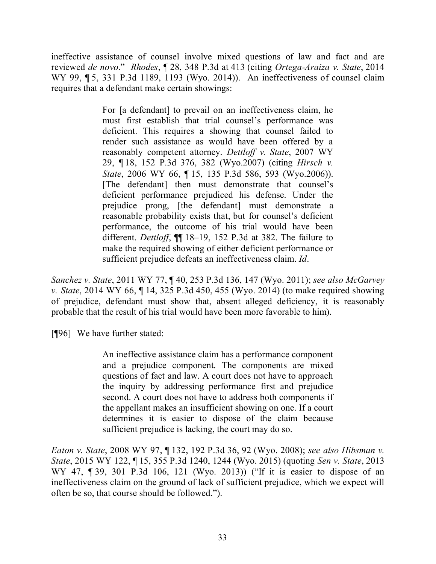ineffective assistance of counsel involve mixed questions of law and fact and are reviewed *de novo*." *Rhodes*, ¶ 28, 348 P.3d at 413 (citing *Ortega-Araiza v. State*, 2014 WY 99, ¶ 5, 331 P.3d 1189, 1193 (Wyo. 2014)). An ineffectiveness of counsel claim requires that a defendant make certain showings:

> For [a defendant] to prevail on an ineffectiveness claim, he must first establish that trial counsel's performance was deficient. This requires a showing that counsel failed to render such assistance as would have been offered by a reasonably competent attorney. *Dettloff v. State*, 2007 WY 29, ¶ 18, 152 P.3d 376, 382 (Wyo.2007) (citing *Hirsch v. State*, 2006 WY 66, ¶ 15, 135 P.3d 586, 593 (Wyo.2006)). [The defendant] then must demonstrate that counsel's deficient performance prejudiced his defense. Under the prejudice prong, [the defendant] must demonstrate a reasonable probability exists that, but for counsel's deficient performance, the outcome of his trial would have been different. *Dettloff*, ¶¶ 18–19, 152 P.3d at 382. The failure to make the required showing of either deficient performance or sufficient prejudice defeats an ineffectiveness claim. *Id*.

*Sanchez v. State*, 2011 WY 77, ¶ 40, 253 P.3d 136, 147 (Wyo. 2011); *see also McGarvey v. State*, 2014 WY 66, ¶ 14, 325 P.3d 450, 455 (Wyo. 2014) (to make required showing of prejudice, defendant must show that, absent alleged deficiency, it is reasonably probable that the result of his trial would have been more favorable to him).

[¶96] We have further stated:

An ineffective assistance claim has a performance component and a prejudice component. The components are mixed questions of fact and law. A court does not have to approach the inquiry by addressing performance first and prejudice second. A court does not have to address both components if the appellant makes an insufficient showing on one. If a court determines it is easier to dispose of the claim because sufficient prejudice is lacking, the court may do so.

*Eaton v. State*, 2008 WY 97, ¶ 132, 192 P.3d 36, 92 (Wyo. 2008); *see also Hibsman v. State*, 2015 WY 122, ¶ 15, 355 P.3d 1240, 1244 (Wyo. 2015) (quoting *Sen v. State*, 2013 WY 47, ¶ 39, 301 P.3d 106, 121 (Wyo. 2013)) ("If it is easier to dispose of an ineffectiveness claim on the ground of lack of sufficient prejudice, which we expect will often be so, that course should be followed.").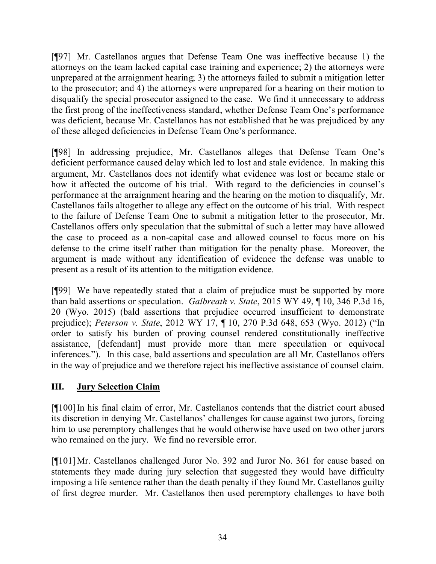[¶97] Mr. Castellanos argues that Defense Team One was ineffective because 1) the attorneys on the team lacked capital case training and experience; 2) the attorneys were unprepared at the arraignment hearing; 3) the attorneys failed to submit a mitigation letter to the prosecutor; and 4) the attorneys were unprepared for a hearing on their motion to disqualify the special prosecutor assigned to the case. We find it unnecessary to address the first prong of the ineffectiveness standard, whether Defense Team One's performance was deficient, because Mr. Castellanos has not established that he was prejudiced by any of these alleged deficiencies in Defense Team One's performance.

[¶98] In addressing prejudice, Mr. Castellanos alleges that Defense Team One's deficient performance caused delay which led to lost and stale evidence. In making this argument, Mr. Castellanos does not identify what evidence was lost or became stale or how it affected the outcome of his trial. With regard to the deficiencies in counsel's performance at the arraignment hearing and the hearing on the motion to disqualify, Mr. Castellanos fails altogether to allege any effect on the outcome of his trial. With respect to the failure of Defense Team One to submit a mitigation letter to the prosecutor, Mr. Castellanos offers only speculation that the submittal of such a letter may have allowed the case to proceed as a non-capital case and allowed counsel to focus more on his defense to the crime itself rather than mitigation for the penalty phase. Moreover, the argument is made without any identification of evidence the defense was unable to present as a result of its attention to the mitigation evidence.

[¶99] We have repeatedly stated that a claim of prejudice must be supported by more than bald assertions or speculation. *Galbreath v. State*, 2015 WY 49, ¶ 10, 346 P.3d 16, 20 (Wyo. 2015) (bald assertions that prejudice occurred insufficient to demonstrate prejudice); *Peterson v. State*, 2012 WY 17, ¶ 10, 270 P.3d 648, 653 (Wyo. 2012) ("In order to satisfy his burden of proving counsel rendered constitutionally ineffective assistance, [defendant] must provide more than mere speculation or equivocal inferences."). In this case, bald assertions and speculation are all Mr. Castellanos offers in the way of prejudice and we therefore reject his ineffective assistance of counsel claim.

# **III. Jury Selection Claim**

[¶100]In his final claim of error, Mr. Castellanos contends that the district court abused its discretion in denying Mr. Castellanos' challenges for cause against two jurors, forcing him to use peremptory challenges that he would otherwise have used on two other jurors who remained on the jury. We find no reversible error.

[¶101]Mr. Castellanos challenged Juror No. 392 and Juror No. 361 for cause based on statements they made during jury selection that suggested they would have difficulty imposing a life sentence rather than the death penalty if they found Mr. Castellanos guilty of first degree murder. Mr. Castellanos then used peremptory challenges to have both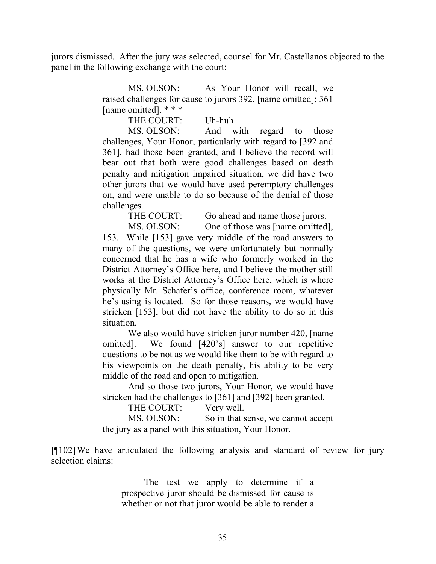jurors dismissed. After the jury was selected, counsel for Mr. Castellanos objected to the panel in the following exchange with the court:

> MS. OLSON: As Your Honor will recall, we raised challenges for cause to jurors 392, [name omitted]; 361 [name omitted]. \* \* \*

> > THE COURT: Uh-huh.

MS. OLSON: And with regard to those challenges, Your Honor, particularly with regard to [392 and 361], had those been granted, and I believe the record will bear out that both were good challenges based on death penalty and mitigation impaired situation, we did have two other jurors that we would have used peremptory challenges on, and were unable to do so because of the denial of those challenges.

THE COURT: Go ahead and name those jurors.

MS. OLSON: One of those was [name omitted], 153. While [153] gave very middle of the road answers to many of the questions, we were unfortunately but normally concerned that he has a wife who formerly worked in the District Attorney's Office here, and I believe the mother still works at the District Attorney's Office here, which is where physically Mr. Schafer's office, conference room, whatever he's using is located. So for those reasons, we would have stricken [153], but did not have the ability to do so in this situation.

We also would have stricken juror number 420, [name omitted]. We found [420's] answer to our repetitive questions to be not as we would like them to be with regard to his viewpoints on the death penalty, his ability to be very middle of the road and open to mitigation.

And so those two jurors, Your Honor, we would have stricken had the challenges to [361] and [392] been granted.

THE COURT: Very well.

MS. OLSON: So in that sense, we cannot accept the jury as a panel with this situation, Your Honor.

[¶102]We have articulated the following analysis and standard of review for jury selection claims:

> The test we apply to determine if a prospective juror should be dismissed for cause is whether or not that juror would be able to render a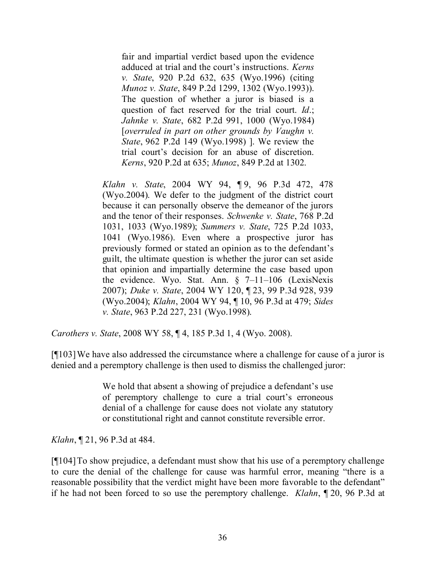fair and impartial verdict based upon the evidence adduced at trial and the court's instructions. *Kerns v. State*, 920 P.2d 632, 635 (Wyo.1996) (citing *Munoz v. State*, 849 P.2d 1299, 1302 (Wyo.1993)). The question of whether a juror is biased is a question of fact reserved for the trial court. *Id*.; *Jahnke v. State*, 682 P.2d 991, 1000 (Wyo.1984) [*overruled in part on other grounds by Vaughn v. State*, 962 P.2d 149 (Wyo.1998) ]. We review the trial court's decision for an abuse of discretion. *Kerns*, 920 P.2d at 635; *Munoz*, 849 P.2d at 1302.

*Klahn v. State*, 2004 WY 94, ¶ 9, 96 P.3d 472, 478 (Wyo.2004). We defer to the judgment of the district court because it can personally observe the demeanor of the jurors and the tenor of their responses. *Schwenke v. State*, 768 P.2d 1031, 1033 (Wyo.1989); *Summers v. State*, 725 P.2d 1033, 1041 (Wyo.1986). Even where a prospective juror has previously formed or stated an opinion as to the defendant's guilt, the ultimate question is whether the juror can set aside that opinion and impartially determine the case based upon the evidence. Wyo. Stat. Ann. § 7–11–106 (LexisNexis 2007); *Duke v. State*, 2004 WY 120, ¶ 23, 99 P.3d 928, 939 (Wyo.2004); *Klahn*, 2004 WY 94, ¶ 10, 96 P.3d at 479; *Sides v. State*, 963 P.2d 227, 231 (Wyo.1998).

*Carothers v. State*, 2008 WY 58, ¶ 4, 185 P.3d 1, 4 (Wyo. 2008).

[¶103]We have also addressed the circumstance where a challenge for cause of a juror is denied and a peremptory challenge is then used to dismiss the challenged juror:

> We hold that absent a showing of prejudice a defendant's use of peremptory challenge to cure a trial court's erroneous denial of a challenge for cause does not violate any statutory or constitutional right and cannot constitute reversible error.

*Klahn*, ¶ 21, 96 P.3d at 484.

[¶104]To show prejudice, a defendant must show that his use of a peremptory challenge to cure the denial of the challenge for cause was harmful error, meaning "there is a reasonable possibility that the verdict might have been more favorable to the defendant" if he had not been forced to so use the peremptory challenge. *Klahn*, ¶ 20, 96 P.3d at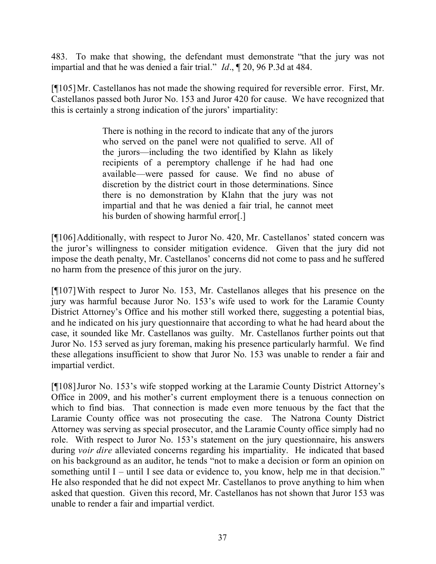483. To make that showing, the defendant must demonstrate "that the jury was not impartial and that he was denied a fair trial." *Id*., ¶ 20, 96 P.3d at 484.

[¶105]Mr. Castellanos has not made the showing required for reversible error. First, Mr. Castellanos passed both Juror No. 153 and Juror 420 for cause. We have recognized that this is certainly a strong indication of the jurors' impartiality:

> There is nothing in the record to indicate that any of the jurors who served on the panel were not qualified to serve. All of the jurors—including the two identified by Klahn as likely recipients of a peremptory challenge if he had had one available—were passed for cause. We find no abuse of discretion by the district court in those determinations. Since there is no demonstration by Klahn that the jury was not impartial and that he was denied a fair trial, he cannot meet his burden of showing harmful error[.]

[¶106]Additionally, with respect to Juror No. 420, Mr. Castellanos' stated concern was the juror's willingness to consider mitigation evidence. Given that the jury did not impose the death penalty, Mr. Castellanos' concerns did not come to pass and he suffered no harm from the presence of this juror on the jury.

[¶107]With respect to Juror No. 153, Mr. Castellanos alleges that his presence on the jury was harmful because Juror No. 153's wife used to work for the Laramie County District Attorney's Office and his mother still worked there, suggesting a potential bias, and he indicated on his jury questionnaire that according to what he had heard about the case, it sounded like Mr. Castellanos was guilty. Mr. Castellanos further points out that Juror No. 153 served as jury foreman, making his presence particularly harmful. We find these allegations insufficient to show that Juror No. 153 was unable to render a fair and impartial verdict.

[¶108]Juror No. 153's wife stopped working at the Laramie County District Attorney's Office in 2009, and his mother's current employment there is a tenuous connection on which to find bias. That connection is made even more tenuous by the fact that the Laramie County office was not prosecuting the case. The Natrona County District Attorney was serving as special prosecutor, and the Laramie County office simply had no role. With respect to Juror No. 153's statement on the jury questionnaire, his answers during *voir dire* alleviated concerns regarding his impartiality. He indicated that based on his background as an auditor, he tends "not to make a decision or form an opinion on something until I – until I see data or evidence to, you know, help me in that decision." He also responded that he did not expect Mr. Castellanos to prove anything to him when asked that question. Given this record, Mr. Castellanos has not shown that Juror 153 was unable to render a fair and impartial verdict.